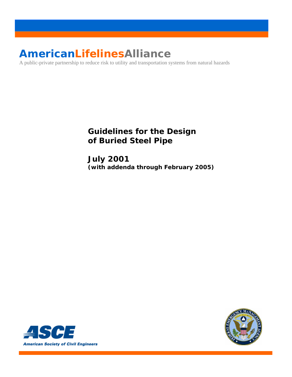# **AmericanLifelinesAlliance**

A public-private partnership to reduce risk to utility and transportation systems from natural hazards

# **Guidelines for the Design of Buried Steel Pipe**

**July 2001**  *(with addenda through February 2005)* 



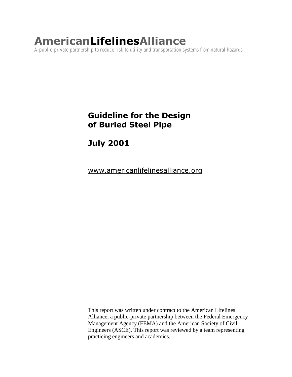# **AmericanLifelinesAlliance**

A public-private partnership to reduce risk to utility and transportation systems from natural hazards

# **Guideline for the Design** of Buried Steel Pipe

**July 2001** 

<u>www.americanlifelinesalliance.org</u>

This report was written under contract to the American Lifelines Alliance, a public-private partnership between the Federal Emergency Management Agency (FEMA) and the American Society of Civil Engineers (ASCE). This report was reviewed by a team representing practicing engineers and academics.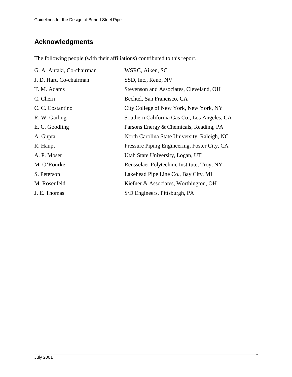# **Acknowledgments**

The following people (with their affiliations) contributed to this report.

| G. A. Antaki, Co-chairman | WSRC, Aiken, SC                              |
|---------------------------|----------------------------------------------|
| J. D. Hart, Co-chairman   | SSD, Inc., Reno, NV                          |
| T. M. Adams               | Stevenson and Associates, Cleveland, OH      |
| C. Chern                  | Bechtel, San Francisco, CA                   |
| C. C. Costantino          | City College of New York, New York, NY       |
| R. W. Gailing             | Southern California Gas Co., Los Angeles, CA |
| E. C. Goodling            | Parsons Energy & Chemicals, Reading, PA      |
| A. Gupta                  | North Carolina State University, Raleigh, NC |
| R. Haupt                  | Pressure Piping Engineering, Foster City, CA |
| A. P. Moser               | Utah State University, Logan, UT             |
| M. O'Rourke               | Rensselaer Polytechnic Institute, Troy, NY   |
| S. Peterson               | Lakehead Pipe Line Co., Bay City, MI         |
| M. Rosenfeld              | Kiefner & Associates, Worthington, OH        |
| J. E. Thomas              | S/D Engineers, Pittsburgh, PA                |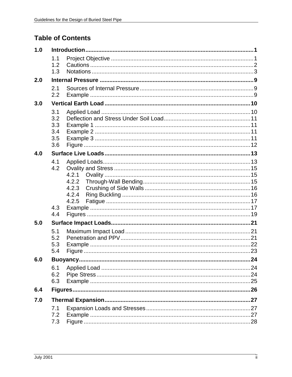# **Table of Contents**

| 1.0 |                                        |                                           |     |  |  |
|-----|----------------------------------------|-------------------------------------------|-----|--|--|
|     | 1.1<br>1.2<br>1.3                      |                                           |     |  |  |
| 2.0 |                                        |                                           |     |  |  |
|     | 2.1<br>2.2                             |                                           |     |  |  |
| 3.0 |                                        |                                           |     |  |  |
|     | 3.1<br>3.2<br>3.3<br>3.4<br>3.5<br>3.6 |                                           |     |  |  |
| 4.0 |                                        |                                           |     |  |  |
|     | 4.1<br>4.2<br>4.3<br>4.4               | 4.2.1<br>4.2.2<br>4.2.3<br>4.2.4<br>4.2.5 |     |  |  |
| 5.0 |                                        |                                           |     |  |  |
|     | 5.1<br>5.2<br>5.3<br>5.4               |                                           |     |  |  |
| 6.0 |                                        |                                           | .24 |  |  |
|     | 6.1<br>6.2<br>6.3                      |                                           |     |  |  |
| 6.4 |                                        |                                           |     |  |  |
| 7.0 |                                        |                                           |     |  |  |
|     | 7.1<br>7.2<br>7.3                      |                                           |     |  |  |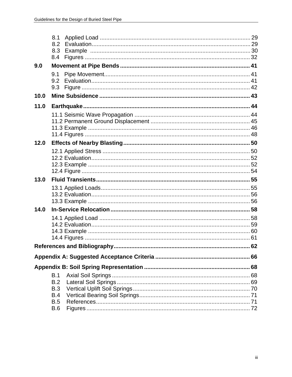|      | 8.1               |  |
|------|-------------------|--|
|      | 8.2               |  |
|      | 8.3               |  |
|      | 8.4               |  |
| 9.0  |                   |  |
|      | 9.1               |  |
|      | 9.2               |  |
|      | 9.3               |  |
| 10.0 |                   |  |
| 11.0 |                   |  |
|      |                   |  |
|      |                   |  |
|      |                   |  |
|      |                   |  |
| 12.0 |                   |  |
|      |                   |  |
|      |                   |  |
|      |                   |  |
|      |                   |  |
| 13.0 |                   |  |
|      |                   |  |
|      |                   |  |
|      |                   |  |
| 14.0 |                   |  |
|      |                   |  |
|      |                   |  |
|      |                   |  |
|      |                   |  |
|      |                   |  |
|      |                   |  |
|      |                   |  |
|      | B.1               |  |
|      |                   |  |
|      | B.2               |  |
|      | <b>B.3</b>        |  |
|      | B.4               |  |
|      | <b>B.5</b><br>B.6 |  |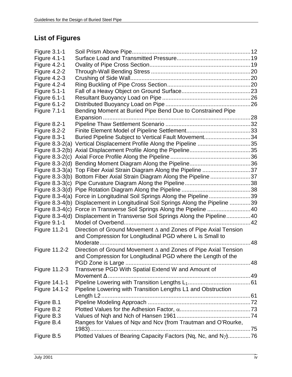# **List of Figures**

| <b>Figure 4.1-1</b><br><b>Figure 4.2-1</b><br>Figure 4.2-2<br><b>Figure 4.2-3</b><br>Figure 4.2-4<br><b>Figure 5.1-1</b><br><b>Figure 6.1-1</b> |
|-------------------------------------------------------------------------------------------------------------------------------------------------|
|                                                                                                                                                 |
|                                                                                                                                                 |
|                                                                                                                                                 |
|                                                                                                                                                 |
|                                                                                                                                                 |
|                                                                                                                                                 |
|                                                                                                                                                 |
| <b>Figure 6.1-2</b>                                                                                                                             |
| Bending Moment at Buried Pipe Bend Due to Constrained Pipe<br><b>Figure 7.1-1</b>                                                               |
|                                                                                                                                                 |
| Figure 8.2-1                                                                                                                                    |
| Figure 8.2-2                                                                                                                                    |
| Figure 8.3-1<br>Buried Pipeline Subject to Vertical Fault Movement34                                                                            |
| Vertical Displacement Profile Along the Pipeline 35<br>Figure $8.3-2(a)$                                                                        |
|                                                                                                                                                 |
| Figure $8.3-2(c)$                                                                                                                               |
| Figure $8.3-2(d)$                                                                                                                               |
| Figure 8.3-3(a) Top Fiber Axial Strain Diagram Along the Pipeline 37                                                                            |
| Bottom Fiber Axial Strain Diagram Along the Pipeline 37<br>Figure $8.3-3(b)$                                                                    |
| Figure $8.3-3(c)$                                                                                                                               |
| Figure $8.3-3(d)$                                                                                                                               |
| Figure 8.3-4(a) Force in Longitudinal Soil Springs Along the Pipeline39                                                                         |
| Displacement in Longitudinal Soil Springs Along the Pipeline 39<br>Figure $8.3-4(b)$                                                            |
| Figure 8.3-4(c) Force in Transverse Soil Springs Along the Pipeline 40                                                                          |
| Figure $8.3-4(d)$<br>Displacement in Transverse Soil Springs Along the Pipeline40                                                               |
| <b>Figure 9.1-1</b>                                                                                                                             |
| Direction of Ground Movement $\Delta$ and Zones of Pipe Axial Tension<br>Figure 11.2-1                                                          |
| and Compression for Longitudinal PGD where L is Small to                                                                                        |
| 48                                                                                                                                              |
| Figure 11.2-2<br>Direction of Ground Movement $\Delta$ and Zones of Pipe Axial Tension                                                          |
| and Compression for Longitudinal PGD where the Length of the                                                                                    |
|                                                                                                                                                 |
| Transverse PGD With Spatial Extend W and Amount of<br>Figure 11.2-3                                                                             |
| Movement $\Delta$                                                                                                                               |
| Figure 14.1-1                                                                                                                                   |
| Figure 14.1-2<br>Pipeline Lowering with Transition Lengths L1 and Obstruction                                                                   |
| Length L <sub>2</sub>                                                                                                                           |
| Figure B.1                                                                                                                                      |
| Figure B.2                                                                                                                                      |
| Figure B.3                                                                                                                                      |
| Figure B.4<br>Ranges for Values of Nqv and Ncv (from Trautman and O'Rourke,                                                                     |
|                                                                                                                                                 |
| Plotted Values of Bearing Capacity Factors (Nq, Nc, and N <sub>2</sub> )76<br>Figure B.5                                                        |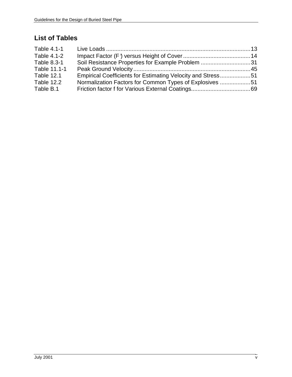# **List of Tables**

| Table 4.1-1       |                                                             |  |
|-------------------|-------------------------------------------------------------|--|
| Table 4.1-2       |                                                             |  |
| Table 8.3-1       | Soil Resistance Properties for Example Problem 31           |  |
| Table 11.1-1      |                                                             |  |
| <b>Table 12.1</b> | Empirical Coefficients for Estimating Velocity and Stress51 |  |
| Table 12.2        | Normalization Factors for Common Types of Explosives 51     |  |
| Table B.1         |                                                             |  |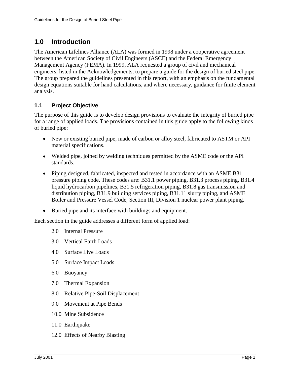# **1.0 Introduction**

The American Lifelines Alliance (ALA) was formed in 1998 under a cooperative agreement between the American Society of Civil Engineers (ASCE) and the Federal Emergency Management Agency (FEMA). In 1999, ALA requested a group of civil and mechanical engineers, listed in the Acknowledgements, to prepare a guide for the design of buried steel pipe. The group prepared the guidelines presented in this report, with an emphasis on the fundamental design equations suitable for hand calculations, and where necessary, guidance for finite element analysis.

# **1.1 Project Objective**

The purpose of this guide is to develop design provisions to evaluate the integrity of buried pipe for a range of applied loads. The provisions contained in this guide apply to the following kinds of buried pipe:

- New or existing buried pipe, made of carbon or alloy steel, fabricated to ASTM or API material specifications.
- Welded pipe, joined by welding techniques permitted by the ASME code or the API standards.
- Piping designed, fabricated, inspected and tested in accordance with an ASME B31 pressure piping code. These codes are: B31.1 power piping, B31.3 process piping, B31.4 liquid hydrocarbon pipelines, B31.5 refrigeration piping, B31.8 gas transmission and distribution piping, B31.9 building services piping, B31.11 slurry piping, and ASME Boiler and Pressure Vessel Code, Section III, Division 1 nuclear power plant piping.
- Buried pipe and its interface with buildings and equipment.

Each section in the guide addresses a different form of applied load:

- 2.0 Internal Pressure
- 3.0 Vertical Earth Loads
- 4.0 Surface Live Loads
- 5.0 Surface Impact Loads
- 6.0 Buoyancy
- 7.0 Thermal Expansion
- 8.0 Relative Pipe-Soil Displacement
- 9.0 Movement at Pipe Bends
- 10.0 Mine Subsidence
- 11.0 Earthquake
- 12.0 Effects of Nearby Blasting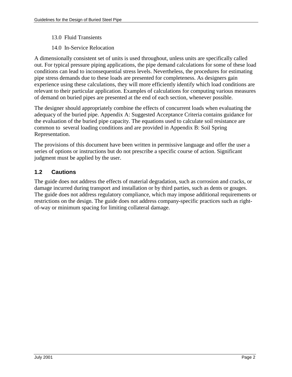- 13.0 Fluid Transients
- 14.0 In-Service Relocation

A dimensionally consistent set of units is used throughout, unless units are specifically called out. For typical pressure piping applications, the pipe demand calculations for some of these load conditions can lead to inconsequential stress levels. Nevertheless, the procedures for estimating pipe stress demands due to these loads are presented for completeness. As designers gain experience using these calculations, they will more efficiently identify which load conditions are relevant to their particular application. Examples of calculations for computing various measures of demand on buried pipes are presented at the end of each section, whenever possible.

The designer should appropriately combine the effects of concurrent loads when evaluating the adequacy of the buried pipe. Appendix A: Suggested Acceptance Criteria contains guidance for the evaluation of the buried pipe capacity. The equations used to calculate soil resistance are common to several loading conditions and are provided in Appendix B: Soil Spring Representation.

The provisions of this document have been written in permissive language and offer the user a series of options or instructions but do not prescribe a specific course of action. Significant judgment must be applied by the user.

## **1.2 Cautions**

The guide does not address the effects of material degradation, such as corrosion and cracks, or damage incurred during transport and installation or by third parties, such as dents or gouges. The guide does not address regulatory compliance, which may impose additional requirements or restrictions on the design. The guide does not address company-specific practices such as rightof-way or minimum spacing for limiting collateral damage.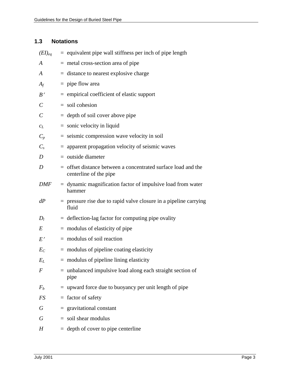## **1.3 Notations**

| $(EI)_{eq}$             | $=$ equivalent pipe wall stiffness per inch of pipe length                                |
|-------------------------|-------------------------------------------------------------------------------------------|
| A                       | $=$ metal cross-section area of pipe                                                      |
| A                       | $=$ distance to nearest explosive charge                                                  |
| $A_f$                   | $=$ pipe flow area                                                                        |
| B'                      | $=$ empirical coefficient of elastic support                                              |
| $\mathcal{C}_{0}^{(n)}$ | $=$ soil cohesion                                                                         |
| $\mathcal{C}_{0}^{0}$   | $=$ depth of soil cover above pipe                                                        |
| $c_L$                   | $=$ sonic velocity in liquid                                                              |
| $C_p$                   | $=$ seismic compression wave velocity in soil                                             |
| $C_{s}$                 | $=$ apparent propagation velocity of seismic waves                                        |
| D                       | $=$ outside diameter                                                                      |
| D                       | $=$ offset distance between a concentrated surface load and the<br>centerline of the pipe |
| <b>DMF</b>              | $=$ dynamic magnification factor of impulsive load from water<br>hammer                   |
| dP                      | $=$ pressure rise due to rapid valve closure in a pipeline carrying<br>fluid              |
| $D_l$                   | $=$ deflection-lag factor for computing pipe ovality                                      |
| E                       | $=$ modulus of elasticity of pipe                                                         |
| E'                      | $=$ modulus of soil reaction                                                              |
| $E_C$                   | $=$ modulus of pipeline coating elasticity                                                |
| $E_L$                   | $=$ modulus of pipeline lining elasticity                                                 |
| F                       | $=$ unbalanced impulsive load along each straight section of<br>pipe                      |
| $F_b$                   | $=$ upward force due to buoyancy per unit length of pipe                                  |
| FS                      | $=$ factor of safety                                                                      |
| G                       | $=$ gravitational constant                                                                |
| G                       | $=$ soil shear modulus                                                                    |
| H                       | $=$ depth of cover to pipe centerline                                                     |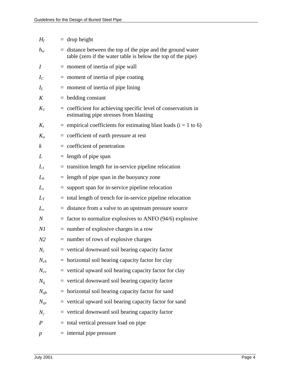| $H_f$            | $=$ drop height                                                                                                               |
|------------------|-------------------------------------------------------------------------------------------------------------------------------|
| $h_w$            | $=$ distance between the top of the pipe and the ground water<br>table (zero if the water table is below the top of the pipe) |
| $\boldsymbol{l}$ | $=$ moment of inertia of pipe wall                                                                                            |
| $I_C$            | $=$ moment of inertia of pipe coating                                                                                         |
| $I_L$            | $=$ moment of inertia of pipe lining                                                                                          |
| K                | $=$ bedding constant                                                                                                          |
| $K_I$            | = coefficient for achieving specific level of conservatism in<br>estimating pipe stresses from blasting                       |
| $K_i$            | $=$ empirical coefficients for estimating blast loads ( $i = 1$ to 6)                                                         |
| $K_{o}$          | $=$ coefficient of earth pressure at rest                                                                                     |
| $\boldsymbol{k}$ | $=$ coefficient of penetration                                                                                                |
| L                | $=$ length of pipe span                                                                                                       |
| $L_l$            | $=$ transition length for in-service pipeline relocation                                                                      |
| $L_b$            | $=$ length of pipe span in the buoyancy zone                                                                                  |
| $L_{s}$          | $=$ support span for in-service pipeline relocation                                                                           |
| $L_T$            | = total length of trench for in-service pipeline relocation                                                                   |
| $L_{v}$          | $=$ distance from a valve to an upstream pressure source                                                                      |
| $\it N$          | $=$ factor to normalize explosives to ANFO (94/6) explosive                                                                   |
| Νl               | $=$ number of explosive charges in a row                                                                                      |
| N <sub>2</sub>   | $=$ number of rows of explosive charges                                                                                       |
| $N_c$            | = vertical downward soil bearing capacity factor                                                                              |
| $N_{ch}$         | $=$ horizontal soil bearing capacity factor for clay                                                                          |
| $N_{cv}$         | $=$ vertical upward soil bearing capacity factor for clay                                                                     |
| $N_q$            | $=$ vertical downward soil bearing capacity factor                                                                            |
| $N_{qh}$         | $=$ horizontal soil bearing capacity factor for sand                                                                          |
| $N_{qv}$         | $=$ vertical upward soil bearing capacity factor for sand                                                                     |
| $N_{\gamma}$     | $=$ vertical downward soil bearing capacity factor                                                                            |
| $\boldsymbol{P}$ | = total vertical pressure load on pipe                                                                                        |
| $\boldsymbol{p}$ | $=$ internal pipe pressure                                                                                                    |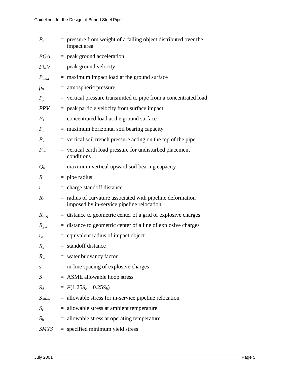| $P_a$            | $=$ pressure from weight of a falling object distributed over the<br>impact area                          |
|------------------|-----------------------------------------------------------------------------------------------------------|
| <b>PGA</b>       | $=$ peak ground acceleration                                                                              |
| <i>PGV</i>       | $=$ peak ground velocity                                                                                  |
| $P_{max}$        | $=$ maximum impact load at the ground surface                                                             |
| $p_o$            | $=$ atmospheric pressure                                                                                  |
| $P_p$            | = vertical pressure transmitted to pipe from a concentrated load                                          |
| <b>PPV</b>       | $=$ peak particle velocity from surface impact                                                            |
| $P_{s}$          | $=$ concentrated load at the ground surface                                                               |
| $P_u$            | $=$ maximum horizontal soil bearing capacity                                                              |
| $P_{v}$          | $=$ vertical soil trench pressure acting on the top of the pipe                                           |
| $P_{vu}$         | $=$ vertical earth load pressure for undisturbed placement<br>conditions                                  |
| $Q_u$            | $=$ maximum vertical upward soil bearing capacity                                                         |
| $\boldsymbol{R}$ | $=$ pipe radius                                                                                           |
| r                | $=$ charge standoff distance                                                                              |
| $R_c$            | $=$ radius of curvature associated with pipeline deformation<br>imposed by in-service pipeline relocation |
| $R_{gcg}$        | $=$ distance to geometric center of a grid of explosive charges                                           |
| $R_{\text{gcl}}$ | $=$ distance to geometric center of a line of explosive charges                                           |
| $r_{o}$          | $=$ equivalent radius of impact object                                                                    |
| $R_{s}$          | $=$ standoff distance                                                                                     |
| $R_{w}$          | $=$ water buoyancy factor                                                                                 |
| S                | $=$ in-line spacing of explosive charges                                                                  |
| S                | $=$ ASME allowable hoop stress                                                                            |
| $S_A$            | $= F(1.25S_c + 0.25S_h)$                                                                                  |
| $S_{allow}$      | $=$ allowable stress for in-service pipeline relocation                                                   |
| $S_c$            | $=$ allowable stress at ambient temperature                                                               |
| $S_h$            | $=$ allowable stress at operating temperature                                                             |
| SMYS             | $=$ specified minimum yield stress                                                                        |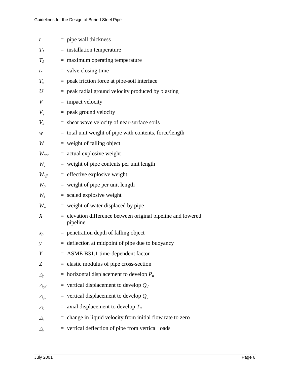| t                  | $=$ pipe wall thickness                                                    |
|--------------------|----------------------------------------------------------------------------|
| $T_I$              | $=$ installation temperature                                               |
| $T_2$              | $=$ maximum operating temperature                                          |
| $t_c$              | $=$ valve closing time                                                     |
| $T_u$              | $=$ peak friction force at pipe-soil interface                             |
| U                  | $=$ peak radial ground velocity produced by blasting                       |
| V                  | $=$ impact velocity                                                        |
| $V_{g}$            | $=$ peak ground velocity                                                   |
| $V_{s}$            | $=$ shear wave velocity of near-surface soils                              |
| w                  | $=$ total unit weight of pipe with contents, force/length                  |
| W                  | $=$ weight of falling object                                               |
| $W_{act}$          | $=$ actual explosive weight                                                |
| $W_c$              | $=$ weight of pipe contents per unit length                                |
| $W_{\text{eff}}$   | $=$ effective explosive weight                                             |
| $W_p$              | $=$ weight of pipe per unit length                                         |
| $W_{s}$            | $=$ scaled explosive weight                                                |
| $W_w$              | $=$ weight of water displaced by pipe                                      |
| X                  | $=$ elevation difference between original pipeline and lowered<br>pipeline |
| $x_p$              | $=$ penetration depth of falling object                                    |
| $\mathcal{Y}$      | $=$ deflection at midpoint of pipe due to buoyancy                         |
| Y                  | $=$ ASME B31.1 time-dependent factor                                       |
| Z                  | $=$ elastic modulus of pipe cross-section                                  |
| $\varDelta_p$      | = horizontal displacement to develop $P_u$                                 |
| $\mathcal{A}_{qd}$ | = vertical displacement to develop $Q_d$                                   |
| $\Delta_{qu}$      | = vertical displacement to develop $Q_u$                                   |
| $\varDelta_t$      | $=$ axial displacement to develop $T_u$                                    |
| $\Delta_{\rm v}$   | change in liquid velocity from initial flow rate to zero                   |
| $\Delta_{\rm v}$   | $=$ vertical deflection of pipe from vertical loads                        |
|                    |                                                                            |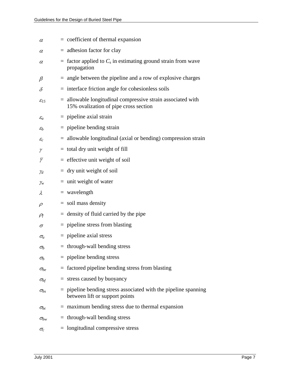| $\alpha$                  | $=$ coefficient of thermal expansion                                                                   |
|---------------------------|--------------------------------------------------------------------------------------------------------|
| $\alpha$                  | $=$ adhesion factor for clay                                                                           |
| $\alpha$                  | $=$ factor applied to $C_s$ in estimating ground strain from wave<br>propagation                       |
| $\beta$                   | $=$ angle between the pipeline and a row of explosive charges                                          |
| $\delta$                  | $=$ interface friction angle for cohesionless soils                                                    |
| $\mathcal{E}_{15}$        | $=$ allowable longitudinal compressive strain associated with<br>15% ovalization of pipe cross section |
| $\mathcal{E}_a$           | $=$ pipeline axial strain                                                                              |
| $\mathcal{E}_b$           | $=$ pipeline bending strain                                                                            |
| $\mathcal{E}_\mathcal{C}$ | $=$ allowable longitudinal (axial or bending) compression strain                                       |
| γ                         | $=$ total dry unit weight of fill                                                                      |
| $\overline{\gamma}$       | $=$ effective unit weight of soil                                                                      |
| Υd                        | $=$ dry unit weight of soil                                                                            |
| $\mathcal{V}_w$           | $=$ unit weight of water                                                                               |
| λ                         | $=$ wavelength                                                                                         |
| $\rho$                    | $=$ soil mass density                                                                                  |
| $\rho_{\!f}$              | $=$ density of fluid carried by the pipe                                                               |
| $\sigma$                  | $=$ pipeline stress from blasting                                                                      |
| $\sigma_a$                | $=$ pipeline axial stress                                                                              |
| $\sigma_b$                | $=$ through-wall bending stress                                                                        |
| $\sigma_b$                | $=$ pipeline bending stress                                                                            |
| $\sigma_{be}$             | $=$ factored pipeline bending stress from blasting                                                     |
| $\sigma_{bf}$             | $=$ stress caused by buoyancy                                                                          |
| $\sigma_{bs}$             | $=$ pipeline bending stress associated with the pipeline spanning<br>between lift or support points    |
| $\sigma_{bt}$             | $=$ maximum bending stress due to thermal expansion                                                    |
| $\sigma_{bw}$             | $=$ through-wall bending stress                                                                        |
| $\sigma_c$                | $=$ longitudinal compressive stress                                                                    |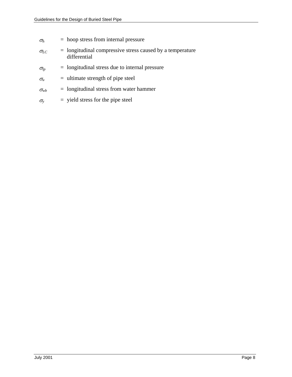| $\sigma_h$ | $=$ hoop stress from internal pressure |
|------------|----------------------------------------|
|------------|----------------------------------------|

- $\sigma_{LC}$  = longitudinal compressive stress caused by a temperature differential
- $\sigma_{lp}$  = longitudinal stress due to internal pressure
- $\sigma_u$  = ultimate strength of pipe steel
- $\sigma_{wb}$  = longitudinal stress from water hammer
- $\sigma_y$  = yield stress for the pipe steel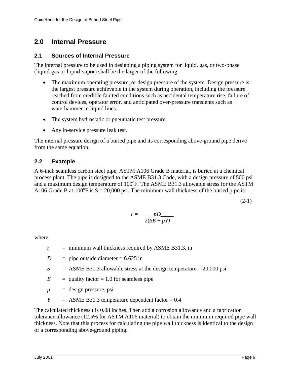# **2.0 Internal Pressure**

#### **2.1 Sources of Internal Pressure**

The internal pressure to be used in designing a piping system for liquid, gas, or two-phase (liquid-gas or liquid-vapor) shall be the larger of the following:

- The maximum operating pressure, or design pressure of the system. Design pressure is the largest pressure achievable in the system during operation, including the pressure reached from credible faulted conditions such as accidental temperature rise, failure of control devices, operator error, and anticipated over-pressure transients such as waterhammer in liquid lines.
- The system hydrostatic or pneumatic test pressure.
- Any in-service pressure leak test.

The internal pressure design of a buried pipe and its corresponding above-ground pipe derive from the same equation.

## **2.2 Example**

A 6-inch seamless carbon steel pipe, ASTM A106 Grade B material, is buried at a chemical process plant. The pipe is designed to the ASME B31.3 Code, with a design pressure of 500 psi and a maximum design temperature of  $100^{\circ}$ F. The ASME B31.3 allowable stress for the ASTM A106 Grade B at  $100^{\circ}$ F is  $S = 20,000$  psi. The minimum wall thickness of the buried pipe is:

 $(2-1)$ 

$$
t = \frac{pD}{2(SE + pY)}
$$

where:

- $t =$  minimum wall thickness required by ASME B31.3, in
- $D =$  pipe outside diameter = 6.625 in
- $S =$ ASME B31.3 allowable stress at the design temperature = 20,000 psi

 $E$  = quality factor = 1.0 for seamless pipe

- $p =$  design pressure, psi
- $Y =$  ASME B31.3 temperature dependent factor = 0.4

The calculated thickness t is 0.08 inches. Then add a corrosion allowance and a fabrication tolerance allowance (12.5% for ASTM A106 material) to obtain the minimum required pipe wall thickness. Note that this process for calculating the pipe wall thickness is identical to the design of a corresponding above-ground piping.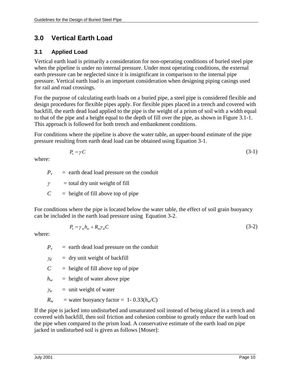# **3.0 Vertical Earth Load**

# **3.1 Applied Load**

Vertical earth load is primarily a consideration for non-operating conditions of buried steel pipe when the pipeline is under no internal pressure. Under most operating conditions, the external earth pressure can be neglected since it is insignificant in comparison to the internal pipe pressure. Vertical earth load is an important consideration when designing piping casings used for rail and road crossings.

For the purpose of calculating earth loads on a buried pipe, a steel pipe is considered flexible and design procedures for flexible pipes apply. For flexible pipes placed in a trench and covered with backfill, the earth dead load applied to the pipe is the weight of a prism of soil with a width equal to that of the pipe and a height equal to the depth of fill over the pipe, as shown in Figure 3.1-1. This approach is followed for both trench and embankment conditions.

For conditions where the pipeline is above the water table, an upper-bound estimate of the pipe pressure resulting from earth dead load can be obtained using Equation 3-1.

$$
P_v = \gamma C \tag{3-1}
$$

where:

 $P_v$  = earth dead load pressure on the conduit

 $\gamma$  = total dry unit weight of fill

 $C =$  height of fill above top of pipe

For conditions where the pipe is located below the water table, the effect of soil grain buoyancy can be included in the earth load pressure using Equation 3-2.

$$
P_v = \gamma_w h_w + R_w \gamma_d C \tag{3-2}
$$

where:

 $P_v$  = earth dead load pressure on the conduit

 $\gamma_d$  = dry unit weight of backfill

 $C =$  height of fill above top of pipe

 $h_w$  = height of water above pipe

 $\chi$ <sup>*w*</sup> = unit weight of water

 $R_w$  = water buoyancy factor = 1- 0.33( $h_w$ /C)

If the pipe is jacked into undisturbed and unsaturated soil instead of being placed in a trench and covered with backfill, then soil friction and cohesion combine to greatly reduce the earth load on the pipe when compared to the prism load. A conservative estimate of the earth load on pipe jacked in undisturbed soil is given as follows [Moser]: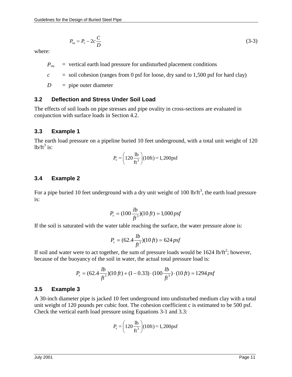$$
P_{vu} = P_v - 2c\frac{C}{D} \tag{3-3}
$$

where:

- $P_{vu}$  = vertical earth load pressure for undisturbed placement conditions
- $c =$  soil cohesion (ranges from 0 psf for loose, dry sand to 1,500 psf for hard clay)

*D* = pipe outer diameter

#### **3.2 Deflection and Stress Under Soil Load**

The effects of soil loads on pipe stresses and pipe ovality in cross-sections are evaluated in conjunction with surface loads in Section 4.2.

#### **3.3 Example 1**

The earth load pressure on a pipeline buried 10 feet underground, with a total unit weight of 120  $1b/ft^3$  is:

$$
P_v = \left(120 \frac{\text{lb}}{\text{ft}^3}\right) (10 \text{ft}) = 1,200 \text{psf}
$$

#### **3.4 Example 2**

For a pipe buried 10 feet underground with a dry unit weight of 100 lb/ft<sup>3</sup>, the earth load pressure is:

$$
P_v = (100 \frac{lb}{ft^3})(10 \, ft) = 1,000 \, psf
$$

If the soil is saturated with the water table reaching the surface, the water pressure alone is:

$$
P_v = (62.4 \frac{lb}{ft^3})(10 \, ft) = 624 \, psf
$$

If soil and water were to act together, the sum of pressure loads would be  $1624$  lb/ft<sup>2</sup>; however, because of the buoyancy of the soil in water, the actual total pressure load is:

$$
P_v = (62.4 \frac{lb}{ft^3})(10 \text{ ft}) + (1 - 0.33) \cdot (100 \frac{lb}{ft^3}) \cdot (10 \text{ ft}) = 1294 \text{ psf}
$$

#### **3.5 Example 3**

A 30-inch diameter pipe is jacked 10 feet underground into undisturbed medium clay with a total unit weight of 120 pounds per cubic foot. The cohesion coefficient c is estimated to be 500 psf. Check the vertical earth load pressure using Equations 3-1 and 3.3:

$$
P_v = \left(120 \frac{\text{lb}}{\text{ft}^3}\right) (10 \text{ft}) = 1,200 \text{psf}
$$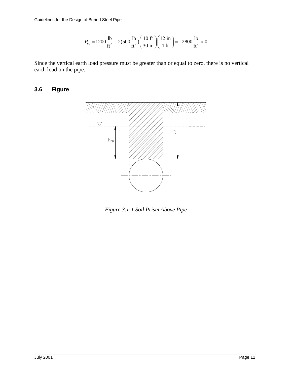$$
P_{vu} = 1200 \frac{\text{lb}}{\text{ft}^2} - 2(500 \frac{\text{lb}}{\text{ft}^2}) \left( \frac{10 \text{ ft}}{30 \text{ in}} \right) \left( \frac{12 \text{ in}}{1 \text{ ft}} \right) = -2800 \frac{\text{lb}}{\text{ft}^2} < 0
$$

Since the vertical earth load pressure must be greater than or equal to zero, there is no vertical earth load on the pipe.

#### **3.6 Figure**



*Figure 3.1-1 Soil Prism Above Pipe*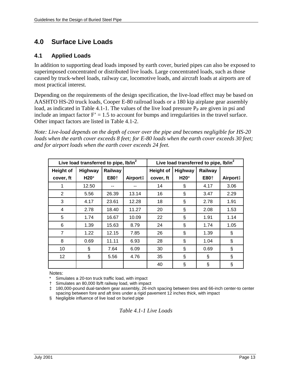# **4.0 Surface Live Loads**

## **4.1 Applied Loads**

In addition to supporting dead loads imposed by earth cover, buried pipes can also be exposed to superimposed concentrated or distributed live loads. Large concentrated loads, such as those caused by truck-wheel loads, railway car, locomotive loads, and aircraft loads at airports are of most practical interest.

Depending on the requirements of the design specification, the live-load effect may be based on AASHTO HS-20 truck loads, Cooper E-80 railroad loads or a 180 kip airplane gear assembly load, as indicated in Table 4.1-1. The values of the live load pressure  $P_P$  are given in psi and include an impact factor  $F' = 1.5$  to account for bumps and irregularities in the travel surface. Other impact factors are listed in Table 4.1-2.

*Note: Live-load depends on the depth of cover over the pipe and becomes negligible for HS-20 loads when the earth cover exceeds 8 feet; for E-80 loads when the earth cover exceeds 30 feet; and for airport loads when the earth cover exceeds 24 feet.* 

| Live load transferred to pipe, lb/in <sup>2</sup> |                |                  | Live load transferred to pipe, lb/in <sup>2</sup> |                                               |      |                  |          |
|---------------------------------------------------|----------------|------------------|---------------------------------------------------|-----------------------------------------------|------|------------------|----------|
| <b>Height of</b>                                  | <b>Highway</b> | Railway          |                                                   | <b>Height of</b><br><b>Highway</b><br>Railway |      |                  |          |
| cover, ft                                         | H20*           | E80 <sup>+</sup> | Airport‡                                          | cover, ft                                     | H20* | E80 <sup>+</sup> | Airport‡ |
| 1                                                 | 12.50          |                  |                                                   | 14                                            | ş    | 4.17             | 3.06     |
| 2                                                 | 5.56           | 26.39            | 13.14                                             | 16                                            | ş    | 3.47             | 2.29     |
| 3                                                 | 4.17           | 23.61            | 12.28                                             | 18                                            | ş    | 2.78             | 1.91     |
| 4                                                 | 2.78           | 18.40            | 11.27                                             | 20                                            | §    | 2.08             | 1.53     |
| 5                                                 | 1.74           | 16.67            | 10.09                                             | 22                                            | ş    | 1.91             | 1.14     |
| 6                                                 | 1.39           | 15.63            | 8.79                                              | 24                                            | ş    | 1.74             | 1.05     |
| 7                                                 | 1.22           | 12.15            | 7.85                                              | 26                                            | ş    | 1.39             | §        |
| 8                                                 | 0.69           | 11.11            | 6.93                                              | 28                                            | ş    | 1.04             | ş        |
| 10                                                | ş              | 7.64             | 6.09                                              | 30                                            | ş    | 0.69             | ş        |
| 12                                                | Ş              | 5.56             | 4.76                                              | 35                                            | ş    | ş                | Ş        |
|                                                   |                |                  |                                                   | 40                                            | Ş    | ş                | Ş        |

Notes:

Simulates a 20-ton truck traffic load, with impact

† Simulates an 80,000 lb/ft railway load, with impact

‡ 180,000-pound dual-tandem gear assembly, 26-inch spacing between tires and 66-inch center-to center spacing between fore and aft tires under a rigid pavement 12 inches thick, with impact

§ Negligible influence of live load on buried pipe

*Table 4.1-1 Live Loads*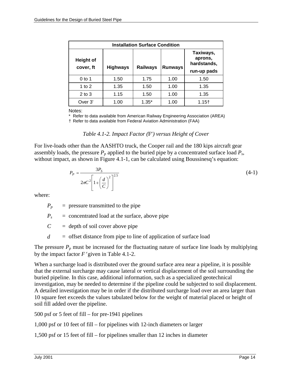| <b>Installation Surface Condition</b> |                 |                 |                |                                     |  |  |
|---------------------------------------|-----------------|-----------------|----------------|-------------------------------------|--|--|
| <b>Height of</b><br>cover, ft         | <b>Highways</b> | <b>Railways</b> | <b>Runways</b> | Taxiways,<br>aprons,<br>hardstands, |  |  |
|                                       |                 |                 |                | run-up pads                         |  |  |
| $0$ to 1                              | 1.50            | 1.75            | 1.00           | 1.50                                |  |  |
| 1 to $2$                              | 1.35            | 1.50            | 1.00           | 1.35                                |  |  |
| $2$ to $3$                            | 1.15            | 1.50            | 1.00           | 1.35                                |  |  |
| Over 3'                               | 1.00            | $1.35*$         | 1.00           | $1.15+$                             |  |  |

Notes:

\* Refer to data available from American Railway Engineering Association (AREA)

† Refer to data available from Federal Aviation Administration (FAA)

#### *Table 4.1-2. Impact Factor (F') versus Height of Cover*

For live-loads other than the AASHTO truck, the Cooper rail and the 180 kips aircraft gear assembly loads, the pressure  $P_p$  applied to the buried pipe by a concentrated surface load  $P_s$ , without impact, as shown in Figure 4.1-1, can be calculated using Boussinesq's equation:

$$
P_P = \frac{3P_S}{2\pi C^2 \left[1 + \left(\frac{d}{C}\right)^2\right]^{2.5}}
$$
\n(4-1)

where:

 $P_p$  = pressure transmitted to the pipe

 $P_s$  = concentrated load at the surface, above pipe

 $C =$  depth of soil cover above pipe

*d* = offset distance from pipe to line of application of surface load

The pressure  $P_p$  must be increased for the fluctuating nature of surface line loads by multiplying by the impact factor  $F$ <sup>'</sup> given in Table 4.1-2.

When a surcharge load is distributed over the ground surface area near a pipeline, it is possible that the external surcharge may cause lateral or vertical displacement of the soil surrounding the buried pipeline. In this case, additional information, such as a specialized geotechnical investigation, may be needed to determine if the pipeline could be subjected to soil displacement. A detailed investigation may be in order if the distributed surcharge load over an area larger than 10 square feet exceeds the values tabulated below for the weight of material placed or height of soil fill added over the pipeline.

500 psf or 5 feet of fill – for pre-1941 pipelines

1,000 psf or 10 feet of fill – for pipelines with 12-inch diameters or larger

1,500 psf or 15 feet of fill – for pipelines smaller than 12 inches in diameter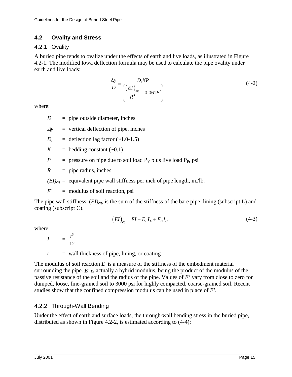## **4.2 Ovality and Stress**

## 4.2.1 Ovality

A buried pipe tends to ovalize under the effects of earth and live loads, as illustrated in Figure 4.2-1. The modified Iowa deflection formula may be used to calculate the pipe ovality under earth and live loads:

$$
\frac{\Delta y}{D} = \frac{D_1 K P}{\left(\frac{(EI)_{eq}}{R^3} + 0.061E'\right)}
$$
(4-2)

where:

 $D =$  pipe outside diameter, inches

 $\Delta y$  = vertical deflection of pipe, inches

$$
D_l = \text{deflection lag factor } (-1.0-1.5)
$$

 $K = \text{bedding constant } (-0.1)$ 

$$
P
$$
 = pressure on pipe due to soil load  $P_V$  plus live load  $P_P$ , psi

 $R =$  pipe radius, inches

 $(EI)_{eq}$  = equivalent pipe wall stiffness per inch of pipe length, in./lb.

*E*'= modulus of soil reaction, psi

The pipe wall stiffness,  $(EI)_{ea}$ , is the sum of the stiffness of the bare pipe, lining (subscript L) and coating (subscript C).

$$
(EI)_{eq} = EI + E_L I_L + E_C I_C \tag{4-3}
$$

where:

*I* = 3 12 *t*

 $t =$  wall thickness of pipe, lining, or coating

The modulus of soil reaction *E'* is a measure of the stiffness of the embedment material surrounding the pipe. *E' is* actually a hybrid modulus, being the product of the modulus of the passive resistance of the soil and the radius of the pipe. Values of *E'* vary from close to zero for dumped, loose, fine-grained soil to 3000 psi for highly compacted, coarse-grained soil. Recent studies show that the confined compression modulus can be used in place of *E'.*

# 4.2.2 Through-Wall Bending

Under the effect of earth and surface loads, the through-wall bending stress in the buried pipe, distributed as shown in Figure 4.2-2, is estimated according to (4-4):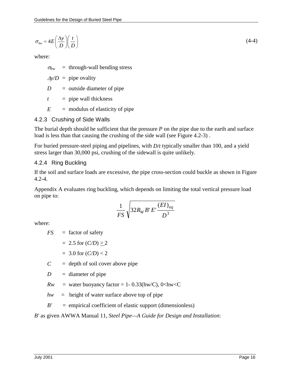$$
\sigma_{bw} = 4E\left(\frac{\Delta y}{D}\right)\left(\frac{t}{D}\right) \tag{4-4}
$$

where:

 $\sigma_{bw}$  = through-wall bending stress

 $\Delta y/D$  = pipe ovality

*D* = outside diameter of pipe

 $t =$  pipe wall thickness

 $E$  = modulus of elasticity of pipe

## 4.2.3 Crushing of Side Walls

The burial depth should be sufficient that the pressure *P* on the pipe due to the earth and surface load is less than that causing the crushing of the side wall (see Figure 4.2-3).

For buried pressure-steel piping and pipelines, with *D/t* typically smaller than 100, and a yield stress larger than 30,000 psi, crushing of the sidewall is quite unlikely.

#### 4.2.4 Ring Buckling

If the soil and surface loads are excessive, the pipe cross-section could buckle as shown in Figure 4.2-4.

Appendix A evaluates ring buckling, which depends on limiting the total vertical pressure load on pipe to:

$$
\frac{1}{FS}\sqrt{32R_WB'E'\frac{(EI)_{eq}}{D^3}}
$$

where:

*FS* = factor of safety

= 2.5 for 
$$
(C/D) \ge 2
$$

$$
= 3.0
$$
 for  $(C/D) < 2$ 

 $C =$  depth of soil cover above pipe

 $D =$  diameter of pipe

 $Rw =$  water buoyancy factor = 1- 0.33(hw/C), 0<hw<C

*hw =* height of water surface above top of pipe

*B' =* empirical coefficient of elastic support (dimensionless)

*B'* as given AWWA Manual 11, *Steel Pipe—A Guide for Design and Installation*: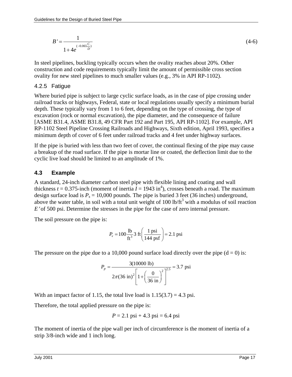$$
B' = \frac{1}{1 + 4e^{(-0.065\frac{C}{D})}}
$$
(4-6)

In steel pipelines, buckling typically occurs when the ovality reaches about 20%. Other construction and code requirements typically limit the amount of permissible cross section ovality for new steel pipelines to much smaller values (e.g., 3% in API RP-1102).

#### 4.2.5 Fatigue

Where buried pipe is subject to large cyclic surface loads, as in the case of pipe crossing under railroad tracks or highways, Federal, state or local regulations usually specify a minimum burial depth. These typically vary from 1 to 6 feet, depending on the type of crossing, the type of excavation (rock or normal excavation), the pipe diameter, and the consequence of failure [ASME B31.4, ASME B31.8, 49 CFR Part 192 and Part 195, API RP-1102]. For example, API RP-1102 Steel Pipeline Crossing Railroads and Highways, Sixth edition, April 1993, specifies a minimum depth of cover of 6 feet under railroad tracks and 4 feet under highway surfaces.

If the pipe is buried with less than two feet of cover, the continual flexing of the pipe may cause a breakup of the road surface. If the pipe is mortar line or coated, the deflection limit due to the cyclic live load should be limited to an amplitude of 1%.

## **4.3 Example**

A standard, 24-inch diameter carbon steel pipe with flexible lining and coating and wall thickness  $t = 0.375$ -inch (moment of inertia  $I = 1943$  in<sup>4</sup>), crosses beneath a road. The maximum design surface load is  $P_s = 10,000$  pounds. The pipe is buried 3 feet (36 inches) underground, above the water table, in soil with a total unit weight of 100 lb/ $\text{ft}^3$  with a modulus of soil reaction *E*′ of 500 psi. Determine the stresses in the pipe for the case of zero internal pressure.

The soil pressure on the pipe is:

$$
P_v = 100 \frac{\text{lb}}{\text{ft}^3} 3 \text{ ft} \left( \frac{1 \text{ psi}}{144 \text{ psf}} \right) = 2.1 \text{ psi}
$$

The pressure on the pipe due to a 10,000 pound surface load directly over the pipe  $(d = 0)$  is:

$$
P_p = \frac{3(10000 \text{ lb})}{2\pi (36 \text{ in})^2 \left[1 + \left(\frac{0}{36 \text{ in}}\right)^2\right]^{2.5}} = 3.7 \text{ psi}
$$

With an impact factor of 1.15, the total live load is  $1.15(3.7) = 4.3$  psi.

Therefore, the total applied pressure on the pipe is:

$$
P = 2.1
$$
psi + 4.3 psi = 6.4 psi

The moment of inertia of the pipe wall per inch of circumference is the moment of inertia of a strip 3/8-inch wide and 1 inch long.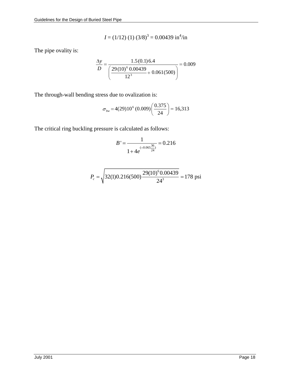$$
I = (1/12) (1) (3/8)3 = 0.00439 \text{ in}^4/\text{in}
$$

The pipe ovality is:

$$
\frac{\Delta y}{D} = \frac{1.5(0.1)6.4}{\left(\frac{29(10)^6 0.00439}{12^3} + 0.061(500)\right)} = 0.009
$$

The through-wall bending stress due to ovalization is:

$$
\sigma_{bw} = 4(29)10^6 (0.009) \left(\frac{0.375}{24}\right) = 16,313
$$

The critical ring buckling pressure is calculated as follows:

$$
B' = \frac{1}{1 + 4e^{(-0.065\frac{36}{24})}} = 0.216
$$

$$
P_c = \sqrt{32(1)0.216(500)\frac{29(10)^6 0.00439}{24^3}} = 178 \text{ psi}
$$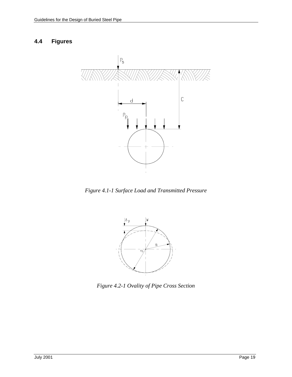## **4.4 Figures**



*Figure 4.1-1 Surface Load and Transmitted Pressure* 



*Figure 4.2-1 Ovality of Pipe Cross Section*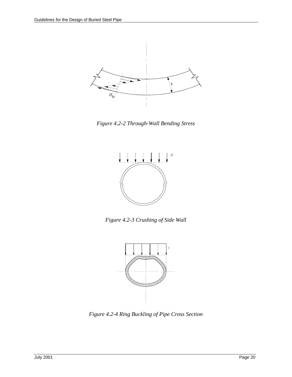

*Figure 4.2-2 Through-Wall Bending Stress* 



*Figure 4.2-3 Crushing of Side Wall* 



*Figure 4.2-4 Ring Buckling of Pipe Cross Section*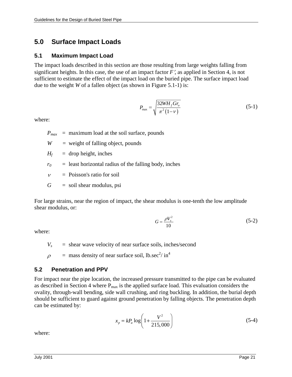# **5.0 Surface Impact Loads**

#### **5.1 Maximum Impact Load**

The impact loads described in this section are those resulting from large weights falling from significant heights. In this case, the use of an impact factor  $F'$ , as applied in Section 4, is not sufficient to estimate the effect of the impact load on the buried pipe. The surface impact load due to the weight *W* of a fallen object (as shown in Figure 5.1-1) is:

$$
P_{\max} = \sqrt{\frac{32WH_f Gr_o}{\pi^2 (1 - v)}}
$$
(5-1)

where:

 $P_{max}$  = maximum load at the soil surface, pounds

*W =* weight of falling object, pounds

 $H_f$  = drop height, inches

 $r_0$  = least horizontal radius of the falling body, inches

 $\nu$  = Poisson's ratio for soil

 $G = \text{soil shear modulus, psi}$ 

For large strains, near the region of impact, the shear modulus is one-tenth the low amplitude shear modulus, or:

$$
G = \frac{\rho V_s^2}{10} \tag{5-2}
$$

where:

 $V_s$  = shear wave velocity of near surface soils, inches/second

 $\rho$  $=$  mass density of near surface soil, lb.sec<sup>2</sup>/ in<sup>4</sup>

# **5.2 Penetration and PPV**

For impact near the pipe location, the increased pressure transmitted to the pipe can be evaluated as described in Section 4 where  $P_{\text{max}}$  is the applied surface load. This evaluation considers the ovality, through-wall bending, side wall crushing, and ring buckling. In addition, the burial depth should be sufficient to guard against ground penetration by falling objects. The penetration depth can be estimated by:

$$
x_p = kP_a \log \left( 1 + \frac{V^2}{215,000} \right) \tag{5-4}
$$

where: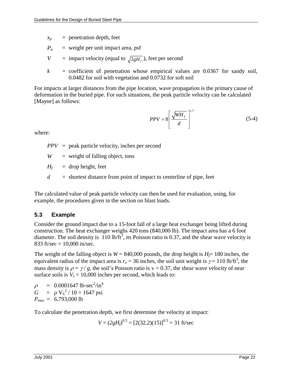- $x_p$  = penetration depth, feet
- $P_a$  = weight per unit impact area, psf
- *V* = impact velocity (equal to  $\sqrt{2gH_f}$ ), feet per second
- $k =$  coefficient of penetration whose empirical values are  $0.0367$  for sandy soil, 0.0482 for soil with vegetation and 0.0732 for soft soil

For impacts at larger distances from the pipe location, wave propagation is the primary cause of deformation in the buried pipe. For such situations, the peak particle velocity can be calculated [Mayne] as follows:

$$
PPV = 8 \left[ \frac{\sqrt{WH_f}}{d} \right]^{1.7} \tag{5-4}
$$

where:

*PPV* = peak particle velocity, inches per second

*W* = weight of falling object, tons

 $H_f$  = drop height, feet

*d* = shortest distance from point of impact to centerline of pipe, feet

The calculated value of peak particle velocity can then be used for evaluation, using, for example, the procedures given in the section on blast loads.

# **5.3 Example**

Consider the ground impact due to a 15-foot fall of a large heat exchanger being lifted during construction. The heat exchanger weighs 420 tons (840,000 lb). The impact area has a 6 foot diameter. The soil density is  $110$  lb/ft<sup>3</sup>, its Poisson ratio is 0.37, and the shear wave velocity is 833 ft/sec =  $10,000$  in/sec.

The weight of the falling object is  $W = 840,000$  pounds, the drop height is  $H \neq 180$  inches, the equivalent radius of the impact area is  $r_o = 36$  inches, the soil unit weight is  $\gamma = 110$  lb/ft<sup>3</sup>, the mass density is  $\rho = \gamma / g$ , the soil's Poisson ratio is  $v = 0.37$ , the shear wave velocity of near surface soils is  $V_s = 10,000$  inches per second, which leads to:

 $\rho$  $= 0.0001647 \text{ lb-sec}^2/\text{in}^4$  $G = \rho V_s^2 / 10 = 1647 \text{ psi}$ *Pmax* = 6,793,000 lb

To calculate the penetration depth, we first determine the velocity at impact:

 $V = (2gH_f)^{0.5} = [2(32.2)(15)]^{0.5} = 31$  ft/sec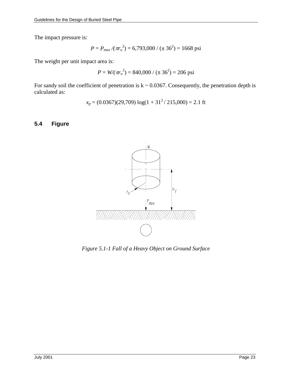The impact pressure is:

$$
P = P_{max} / (\pi r_o^2) = 6{,}793{,}000 / (\pi 36^2) = 1668 \text{ psi}
$$

The weight per unit impact area is:

$$
P = W/(\pi r_o^2) = 840,000 / (\pi 36^2) = 206 \text{ psi}
$$

For sandy soil the coefficient of penetration is  $k \sim 0.0367$ . Consequently, the penetration depth is calculated as:

$$
x_p = (0.0367)(29,709) \log(1 + 31^2 / 215,000) = 2.1
$$
 ft

## **5.4 Figure**



*Figure 5.1-1 Fall of a Heavy Object on Ground Surface*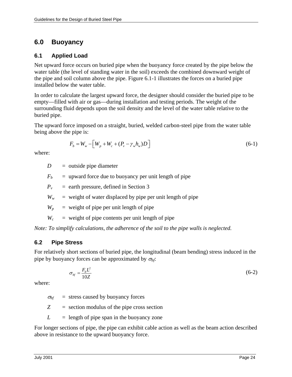# **6.0 Buoyancy**

#### **6.1 Applied Load**

Net upward force occurs on buried pipe when the buoyancy force created by the pipe below the water table (the level of standing water in the soil) exceeds the combined downward weight of the pipe and soil column above the pipe. Figure 6.1-1 illustrates the forces on a buried pipe installed below the water table.

In order to calculate the largest upward force, the designer should consider the buried pipe to be empty—filled with air or gas—during installation and testing periods. The weight of the surrounding fluid depends upon the soil density and the level of the water table relative to the buried pipe.

The upward force imposed on a straight, buried, welded carbon-steel pipe from the water table being above the pipe is:

$$
F_b = W_w - \left[ W_p + W_c + (P_v - \gamma_w h_w) D \right] \tag{6-1}
$$

where:

*D* = outside pipe diameter

 $F_b$  = upward force due to buoyancy per unit length of pipe

 $P_v$  = earth pressure, defined in Section 3

 $W_w$  = weight of water displaced by pipe per unit length of pipe

 $W_p$  = weight of pipe per unit length of pipe

 $W_c$  = weight of pipe contents per unit length of pipe

*Note: To simplify calculations, the adherence of the soil to the pipe walls is neglected.* 

## **6.2 Pipe Stress**

For relatively short sections of buried pipe, the longitudinal (beam bending) stress induced in the pipe by buoyancy forces can be approximated by  $\sigma_{h}$ .

$$
\sigma_{\scriptscriptstyle bf} = \frac{F_b L^2}{10Z} \tag{6-2}
$$

where:

 $\sigma_{\text{bf}}$  = stress caused by buoyancy forces

*Z* = section modulus of the pipe cross section

 $L =$  length of pipe span in the buoyancy zone

For longer sections of pipe, the pipe can exhibit cable action as well as the beam action described above in resistance to the upward buoyancy force.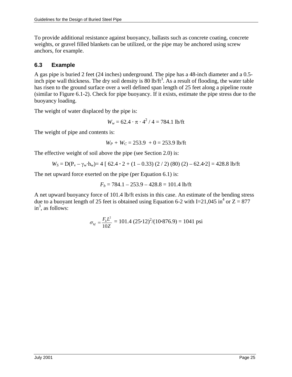To provide additional resistance against buoyancy, ballasts such as concrete coating, concrete weights, or gravel filled blankets can be utilized, or the pipe may be anchored using screw anchors, for example.

# **6.3 Example**

A gas pipe is buried 2 feet (24 inches) underground. The pipe has a 48-inch diameter and a 0.5 inch pipe wall thickness. The dry soil density is 80 lb/ $ft<sup>3</sup>$ . As a result of flooding, the water table has risen to the ground surface over a well defined span length of 25 feet along a pipeline route (similar to Figure 6.1-2). Check for pipe buoyancy. If it exists, estimate the pipe stress due to the buoyancy loading.

The weight of water displaced by the pipe is:

 $W_w = 62.4 \cdot \pi \cdot 4^2 / 4 = 784.1$  lb/ft

The weight of pipe and contents is:

 $W_P + W_C = 253.9 + 0 = 253.9$  lb/ft

The effective weight of soil above the pipe (see Section 2.0) is:

$$
W_S = D(P_v - \gamma_w \cdot h_w) = 4 [62.4 \cdot 2 + (1 - 0.33) (2 / 2) (80) (2) - 62.4 \cdot 2] = 428.8
$$
 lb/ft

The net upward force exerted on the pipe (per Equation 6.1) is:

$$
F_b = 784.1 - 253.9 - 428.8 = 101.4
$$
 lb/ft

A net upward buoyancy force of 101.4 lb/ft exists in this case. An estimate of the bending stress due to a buoyant length of 25 feet is obtained using Equation 6-2 with I=21,045 in<sup>4</sup> or  $Z = 877$  $in<sup>3</sup>$ , as follows:

$$
\sigma_{\text{bf}} = \frac{F_{\text{b}}L^2}{10Z} = 101.4 (25 \cdot 12)^2/(10 \cdot 876.9) = 1041 \text{ psi}
$$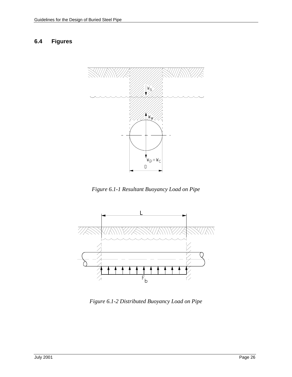## **6.4 Figures**



*Figure 6.1-1 Resultant Buoyancy Load on Pipe* 



*Figure 6.1-2 Distributed Buoyancy Load on Pipe*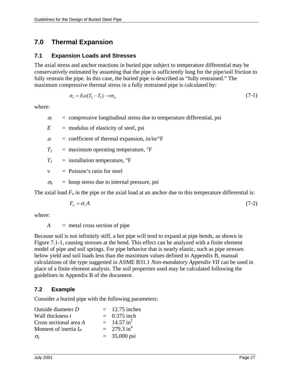# **7.0 Thermal Expansion**

#### **7.1 Expansion Loads and Stresses**

The axial stress and anchor reactions in buried pipe subject to temperature differential may be conservatively estimated by assuming that the pipe is sufficiently long for the pipe/soil friction to fully restrain the pipe. In this case, the buried pipe is described as "fully restrained." The maximum compressive thermal stress in a fully restrained pipe is calculated by:

$$
\sigma_c = E\alpha (T_2 - T_1) - \nu \sigma_h \tag{7-1}
$$

where:

 $\sigma_t$  = compressive longitudinal stress due to temperature differential, psi

 $E$  = modulus of elasticity of steel, psi

 $\alpha$  = coefficient of thermal expansion, in/in/°F

 $T_2$  = maximum operating temperature,  ${}^{\circ}$ F

 $T_1$  = installation temperature,  ${}^{\circ}$ F

 $v = Poisson's ratio for steel$ 

 $\sigma_h$  = hoop stress due to internal pressure, psi

The axial load  $F_a$  in the pipe or the axial load at an anchor due to this temperature differential is:

$$
F_a = \sigma_t A \tag{7-2}
$$

where:

*A* = metal cross section of pipe

Because soil is not infinitely stiff, a hot pipe will tend to expand at pipe bends, as shown in Figure 7.1-1, causing stresses at the bend. This effect can be analyzed with a finite element model of pipe and soil springs. For pipe behavior that is nearly elastic, such as pipe stresses below yield and soil loads less than the maximum values defined in Appendix B, manual calculations of the type suggested in ASME B31.1 *Non-mandatory Appendix VII* can be used in place of a finite element analysis. The soil properties used may be calculated following the guidelines in Appendix B of the document.

## **7.2 Example**

Consider a buried pipe with the following parameters:

| Outside diameter D      | $=$ 12.75 inches          |
|-------------------------|---------------------------|
| Wall thickness t        | $= 0.375$ inch            |
| Cross sectional area A  | $=$ 14.57 in <sup>2</sup> |
| Moment of inertia $I_P$ | $= 279.3 \text{ in}^4$    |
| $\sigma_{\rm v}$        | $= 35,000 \text{ psi}$    |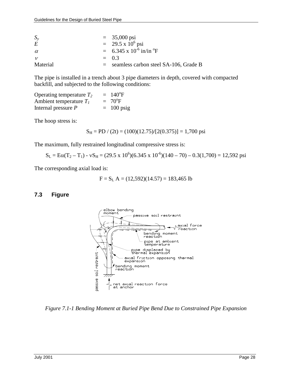| $S_{\nu}$    | $= 35,000 \text{ psi}$                                    |                                           |
|--------------|-----------------------------------------------------------|-------------------------------------------|
| E            | $=$ 29.5 x 10 <sup>6</sup> psi                            |                                           |
| $\alpha$     | $= 6.345 \times 10^{-6} \text{ in/in } ^{\circ} \text{F}$ |                                           |
| $\mathcal V$ | $= 0.3$                                                   |                                           |
| Material     |                                                           | $=$ seamless carbon steel SA-106, Grade B |

The pipe is installed in a trench about 3 pipe diameters in depth, covered with compacted backfill, and subjected to the following conditions:

Operating temperature  $T_2$  $= 140^{\circ}F$ Ambient temperature  $T_I$  $= 70^{\circ}F$ Internal pressure  $P = 100 \text{ psig}$ 

The hoop stress is:

$$
S_H = PD / (2t) = (100)(12.75)/[2(0.375)] = 1,700 \text{ psi}
$$

The maximum, fully restrained longitudinal compressive stress is:

 $S_L = E\alpha(T_2 - T_1) - vS_H = (29.5 \times 10^6)(6.345 \times 10^{-6})(140 - 70) - 0.3(1,700) = 12{,}592 \text{ psi}$ 

The corresponding axial load is:

$$
F = SL A = (12,592)(14.57) = 183,465 lb
$$

#### **7.3 Figure**



*Figure 7.1-1 Bending Moment at Buried Pipe Bend Due to Constrained Pipe Expansion*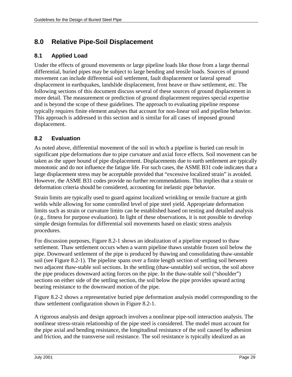# **8.0 Relative Pipe-Soil Displacement**

## **8.1 Applied Load**

Under the effects of ground movements or large pipeline loads like those from a large thermal differential, buried pipes may be subject to large bending and tensile loads. Sources of ground movement can include differential soil settlement, fault displacement or lateral spread displacement in earthquakes, landslide displacement, frost heave or thaw settlement, etc. The following sections of this document discuss several of these sources of ground displacement in more detail. The measurement or prediction of ground displacement requires special expertise and is beyond the scope of these guidelines. The approach to evaluating pipeline response typically requires finite element analyses that account for non-linear soil and pipeline behavior. This approach is addressed in this section and is similar for all cases of imposed ground displacement.

# **8.2 Evaluation**

As noted above, differential movement of the soil in which a pipeline is buried can result in significant pipe deformations due to pipe curvature and axial force effects. Soil movement can be taken as the upper bound of pipe displacement. Displacements due to earth settlement are typically monotonic and do not influence the fatigue life. For such cases, the ASME B31 code indicates that a large displacement stress may be acceptable provided that "excessive localized strain" is avoided. However, the ASME B31 codes provide no further recommendations. This implies that a strain or deformation criteria should be considered, accounting for inelastic pipe behavior.

Strain limits are typically used to guard against localized wrinkling or tensile fracture at girth welds while allowing for some controlled level of pipe steel yield. Appropriate deformation limits such as strain or curvature limits can be established based on testing and detailed analysis (e.g., fitness for purpose evaluation). In light of these observations, it is not possible to develop simple design formulas for differential soil movements based on elastic stress analysis procedures.

For discussion purposes, Figure 8.2-1 shows an idealization of a pipeline exposed to thaw settlement. Thaw settlement occurs when a warm pipeline thaws unstable frozen soil below the pipe. Downward settlement of the pipe is produced by thawing and consolidating thaw-unstable soil (see Figure 8.2-1). The pipeline spans over a finite length section of settling soil between two adjacent thaw-stable soil sections. In the settling (thaw-unstable) soil section, the soil above the pipe produces downward acting forces on the pipe. In the thaw-stable soil ("shoulder") sections on either side of the settling section, the soil below the pipe provides upward acting bearing resistance to the downward motion of the pipe.

Figure 8.2-2 shows a representative buried pipe deformation analysis model corresponding to the thaw settlement configuration shown in Figure 8.2-1.

A rigorous analysis and design approach involves a nonlinear pipe-soil interaction analysis. The nonlinear stress-strain relationship of the pipe steel is considered. The model must account for the pipe axial and bending resistance, the longitudinal resistance of the soil caused by adhesion and friction, and the transverse soil resistance. The soil resistance is typically idealized as an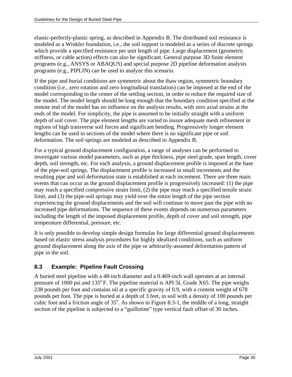elastic-perfectly-plastic spring, as described in Appendix B. The distributed soil resistance is modeled as a Winkler foundation, i.e., the soil support is modeled as a series of discrete springs which provide a specified resistance per unit length of pipe. Large displacement (geometric stiffness, or cable action) effects can also be significant. General purpose 3D finite element programs (e.g., ANSYS or ABAQUS) and special purpose 2D pipeline deformation analysis programs (e.g., PIPLIN) can be used to analyze this scenario.

If the pipe and burial conditions are symmetric about the thaw region, symmetric boundary condition (i.e., zero rotation and zero longitudinal translation) can be imposed at the end of the model corresponding to the center of the settling section, in order to reduce the required size of the model. The model length should be long enough that the boundary condition specified at the remote end of the model has no influence on the analysis results, with zero axial strains at the ends of the model. For simplicity, the pipe is assumed to be initially straight with a uniform depth of soil cover. The pipe element lengths are varied to insure adequate mesh refinement in regions of high transverse soil forces and significant bending. Progressively longer element lengths can be used in sections of the model where there is no significant pipe or soil deformation. The soil springs are modeled as described in Appendix B.

For a typical ground displacement configuration, a range of analyses can be performed to investigate various model parameters, such as pipe thickness, pipe steel grade, span length, cover depth, soil strength, etc. For each analysis, a ground displacement profile is imposed at the base of the pipe-soil springs. The displacement profile is increased in small increments and the resulting pipe and soil deformation state is established at each increment. There are three main events that can occur as the ground displacement profile is progressively increased: (1) the pipe may reach a specified compressive strain limit, (2) the pipe may reach a specified tensile strain limit, and (3) the pipe-soil springs may yield over the entire length of the pipe section experiencing the ground displacements and the soil will continue to move past the pipe with no increased pipe deformations. The sequence of these events depends on numerous parameters including the length of the imposed displacement profile, depth of cover and soil strength, pipe temperature differential, pressure, etc.

It is only possible to develop simple design formulas for large differential ground displacements based on elastic stress analysis procedures for highly idealized conditions, such as uniform ground displacement along the axis of the pipe or arbitrarily-assumed deformation pattern of pipe in the soil.

# **8.3 Example: Pipeline Fault Crossing**

A buried steel pipeline with a 48-inch diameter and a 0.469-inch wall operates at an internal pressure of 1000 psi and  $135^{\circ}$  F. The pipeline material is API 5L Grade X65. The pipe weighs 238 pounds per foot and contains oil at a specific gravity of 0.9, with a content weight of 678 pounds per foot. The pipe is buried at a depth of 3 feet, in soil with a density of 100 pounds per cubic foot and a friction angle of  $35^\circ$ . As shown in Figure 8.3-1, the middle of a long, straight section of the pipeline is subjected to a "guillotine" type vertical fault offset of 30 inches.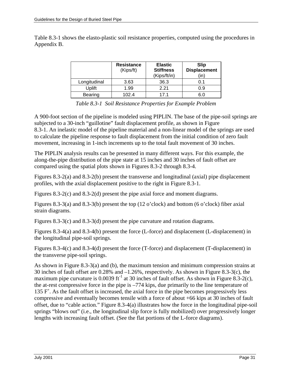Table 8.3-1 shows the elasto-plastic soil resistance properties, computed using the procedures in Appendix B.

|              | <b>Resistance</b><br>(Kips/ft) | <b>Elastic</b><br><b>Stiffness</b><br>(Kips/ft/in) | Slip<br><b>Displacement</b><br>(in` |
|--------------|--------------------------------|----------------------------------------------------|-------------------------------------|
| Longitudinal | 3.63                           | 36.3                                               | 0.1                                 |
| Uplift       | 1.99                           | 2.21                                               | 0.9                                 |
| Bearing      | 102.4                          | 171                                                | 6.C                                 |

*Table 8.3-1 Soil Resistance Properties for Example Problem* 

A 900-foot section of the pipeline is modeled using PIPLIN. The base of the pipe-soil springs are subjected to a 30-inch "guillotine" fault displacement profile, as shown in Figure 8.3-1. An inelastic model of the pipeline material and a non-linear model of the springs are used to calculate the pipeline response to fault displacement from the initial condition of zero fault movement, increasing in 1-inch increments up to the total fault movement of 30 inches.

The PIPLIN analysis results can be presented in many different ways. For this example, the along-the-pipe distribution of the pipe state at 15 inches and 30 inches of fault offset are compared using the spatial plots shown in Figures 8.3-2 through 8.3-4.

Figures 8.3-2(a) and 8.3-2(b) present the transverse and longitudinal (axial) pipe displacement profiles, with the axial displacement positive to the right in Figure 8.3-1.

Figures 8.3-2(c) and 8.3-2(d) present the pipe axial force and moment diagrams.

Figures 8.3-3(a) and 8.3-3(b) present the top (12 o'clock) and bottom (6 o'clock) fiber axial strain diagrams.

Figures 8.3-3(c) and 8.3-3(d) present the pipe curvature and rotation diagrams.

Figures 8.3-4(a) and 8.3-4(b) present the force (L-force) and displacement (L-displacement) in the longitudinal pipe-soil springs.

Figures 8.3-4(c) and 8.3-4(d) present the force (T-force) and displacement (T-displacement) in the transverse pipe-soil springs.

As shown in Figure 8.3-3(a) and (b), the maximum tension and minimum compression strains at 30 inches of fault offset are 0.28% and –1.26%, respectively. As shown in Figure 8.3-3(c), the maximum pipe curvature is 0.0039 ft<sup>-1</sup> at 30 inches of fault offset. As shown in Figure 8.3-2(c), the at-rest compressive force in the pipe is –774 kips, due primarily to the line temperature of 135  $F^{\circ}$ . As the fault offset is increased, the axial force in the pipe becomes progressively less compressive and eventually becomes tensile with a force of about +66 kips at 30 inches of fault offset, due to "cable action." Figure 8.3-4(a) illustrates how the force in the longitudinal pipe-soil springs "blows out" (i.e., the longitudinal slip force is fully mobilized) over progressively longer lengths with increasing fault offset. (See the flat portions of the L-force diagrams).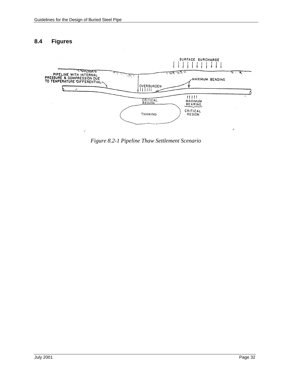### **8.4 Figures**



*Figure 8.2-1 Pipeline Thaw Settlement Scenario*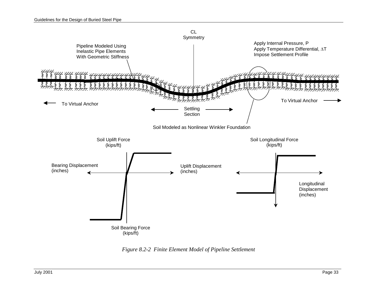

*Figure 8.2-2 Finite Element Model of Pipeline Settlement*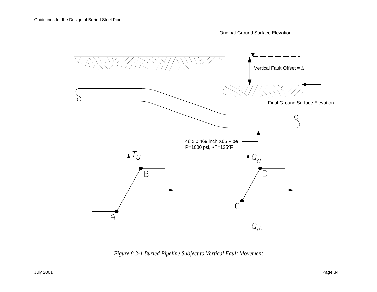

*Figure 8.3-1 Buried Pipeline Subject to Vertical Fault Movement*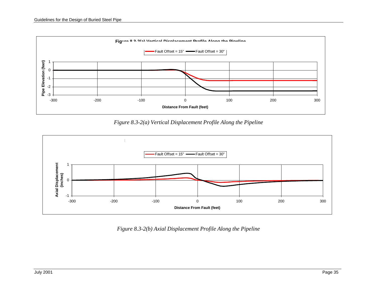

*Figure 8.3-2(a) Vertical Displacement Profile Along the Pipeline* 



*Figure 8.3-2(b) Axial Displacement Profile Along the Pipeline*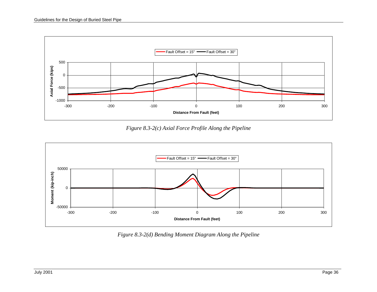

*Figure 8.3-2(c) Axial Force Profile Along the Pipeline* 



*Figure 8.3-2(d) Bending Moment Diagram Along the Pipeline*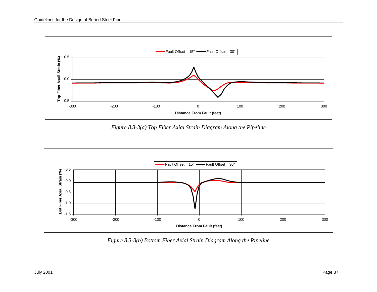

*Figure 8.3-3(a) Top Fiber Axial Strain Diagram Along the Pipeline* 



*Figure 8.3-3(b) Bottom Fiber Axial Strain Diagram Along the Pipeline*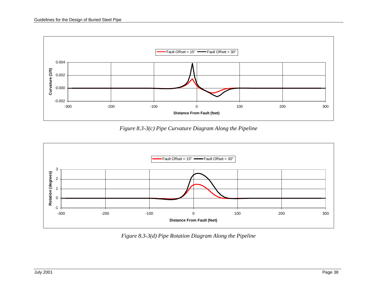

*Figure 8.3-3(c) Pipe Curvature Diagram Along the Pipeline* 



*Figure 8.3-3(d) Pipe Rotation Diagram Along the Pipeline*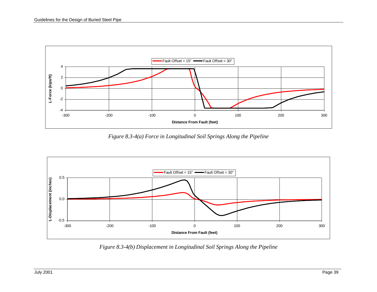

*Figure 8.3-4(a) Force in Longitudinal Soil Springs Along the Pipeline* 



*Figure 8.3-4(b) Displacement in Longitudinal Soil Springs Along the Pipeline*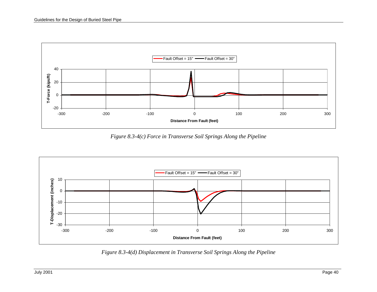

*Figure 8.3-4(c) Force in Transverse Soil Springs Along the Pipeline* 



*Figure 8.3-4(d) Displacement in Transverse Soil Springs Along the Pipeline*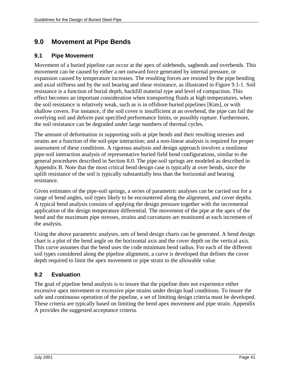# **9.0 Movement at Pipe Bends**

### **9.1 Pipe Movement**

Movement of a buried pipeline can occur at the apex of sidebends, sagbends and overbends. This movement can be caused by either a net outward force generated by internal pressure, or expansion caused by temperature increases. The resulting forces are resisted by the pipe bending and axial stiffness and by the soil bearing and shear resistance, as illustrated in Figure 9.1-1. Soil resistance is a function of burial depth, backfill material type and level of compaction. This effect becomes an important consideration when transporting fluids at high temperatures, when the soil resistance is relatively weak, such as is in offshore buried pipelines [Kim], or with shallow covers. For instance, if the soil cover is insufficient at an overbend, the pipe can fail the overlying soil and deform past specified performance limits, or possibly rupture. Furthermore, the soil resistance can be degraded under large numbers of thermal cycles.

The amount of deformation in supporting soils at pipe bends and their resulting stresses and strains are a function of the soil-pipe interaction; and a non-linear analysis is required for proper assessment of these conditions. A rigorous analysis and design approach involves a nonlinear pipe-soil interaction analysis of representative buried field bend configurations, similar to the general procedures described in Section 8.0. The pipe-soil springs are modeled as described in Appendix B. Note that the most critical bend design case is typically at over bends, since the uplift resistance of the soil is typically substantially less than the horizontal and bearing resistance.

Given estimates of the pipe-soil springs, a series of parametric analyses can be carried out for a range of bend angles, soil types likely to be encountered along the alignment, and cover depths. A typical bend analysis consists of applying the design pressure together with the incremental application of the design temperature differential. The movement of the pipe at the apex of the bend and the maximum pipe stresses, strains and curvatures are monitored at each increment of the analysis.

Using the above parametric analyses, sets of bend design charts can be generated. A bend design chart is a plot of the bend angle on the horizontal axis and the cover depth on the vertical axis. This curve assumes that the bend uses the code minimum bend radius. For each of the different soil types considered along the pipeline alignment, a curve is developed that defines the cover depth required to limit the apex movement or pipe strain to the allowable value.

## **9.2 Evaluation**

The goal of pipeline bend analysis is to insure that the pipeline does not experience either excessive apex movement or excessive pipe strains under design load conditions. To insure the safe and continuous operation of the pipeline, a set of limiting design criteria must be developed. These criteria are typically based on limiting the bend apex movement and pipe strain. Appendix A provides the suggested acceptance criteria.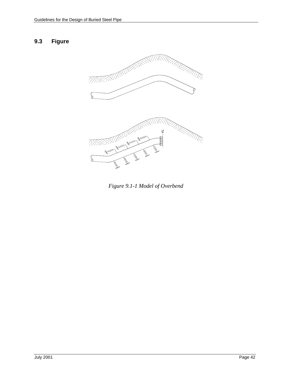### **9.3 Figure**



*Figure 9.1-1 Model of Overbend*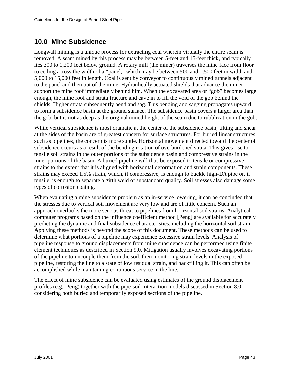# **10.0 Mine Subsidence**

Longwall mining is a unique process for extracting coal wherein virtually the entire seam is removed. A seam mined by this process may be between 5-feet and 15-feet thick, and typically lies 300 to 1,200 feet below ground. A rotary mill (the miner) traverses the mine face from floor to ceiling across the width of a "panel," which may be between 500 and 1,500 feet in width and 5,000 to 15,000 feet in length. Coal is sent by conveyor to continuously mined tunnels adjacent to the panel and then out of the mine. Hydraulically actuated shields that advance the miner support the mine roof immediately behind him. When the excavated area or "gob" becomes large enough, the mine roof and strata fracture and cave in to fill the void of the gob behind the shields. Higher strata subsequently bend and sag. This bending and sagging propagates upward to form a subsidence basin at the ground surface. The subsidence basin covers a larger area than the gob, but is not as deep as the original mined height of the seam due to rubblization in the gob.

While vertical subsidence is most dramatic at the center of the subsidence basin, tilting and shear at the sides of the basin are of greatest concern for surface structures. For buried linear structures such as pipelines, the concern is more subtle. Horizontal movement directed toward the center of subsidence occurs as a result of the bending rotation of overburdened strata. This gives rise to tensile soil strains in the outer portions of the subsidence basin and compressive strains in the inner portions of the basin. A buried pipeline will thus be exposed to tensile or compressive strains to the extent that it is aligned with horizontal deformation and strain components. These strains may exceed 1.5% strain, which, if compressive, is enough to buckle high-D/t pipe or, if tensile, is enough to separate a girth weld of substandard quality. Soil stresses also damage some types of corrosion coating.

When evaluating a mine subsidence problem as an in-service lowering, it can be concluded that the stresses due to vertical soil movement are very low and are of little concern. Such an approach overlooks the more serious threat to pipelines from horizontal soil strains. Analytical computer programs based on the influence coefficient method [Peng] are available for accurately predicting the dynamic and final subsidence characteristics, including the horizontal soil strain. Applying these methods is beyond the scope of this document. These methods can be used to determine what portions of a pipeline may experience excessive strain levels. Analysis of pipeline response to ground displacements from mine subsidence can be performed using finite element techniques as described in Section 9.0. Mitigation usually involves excavating portions of the pipeline to uncouple them from the soil, then monitoring strain levels in the exposed pipeline, restoring the line to a state of low residual strain, and backfilling it. This can often be accomplished while maintaining continuous service in the line.

The effect of mine subsidence can be evaluated using estimates of the ground displacement profiles (e.g., Peng) together with the pipe-soil interaction models discussed in Section 8.0, considering both buried and temporarily exposed sections of the pipeline.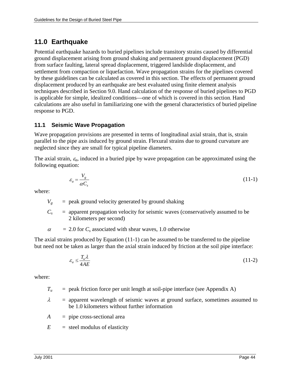# **11.0 Earthquake**

Potential earthquake hazards to buried pipelines include transitory strains caused by differential ground displacement arising from ground shaking and permanent ground displacement (PGD) from surface faulting, lateral spread displacement, triggered landslide displacement, and settlement from compaction or liquefaction. Wave propagation strains for the pipelines covered by these guidelines can be calculated as covered in this section. The effects of permanent ground displacement produced by an earthquake are best evaluated using finite element analysis techniques described in Section 9.0. Hand calculation of the response of buried pipelines to PGD is applicable for simple, idealized conditions—one of which is covered in this section. Hand calculations are also useful in familiarizing one with the general characteristics of buried pipeline response to PGD.

### **11.1 Seismic Wave Propagation**

Wave propagation provisions are presented in terms of longitudinal axial strain, that is, strain parallel to the pipe axis induced by ground strain. Flexural strains due to ground curvature are neglected since they are small for typical pipeline diameters.

The axial strain,  $\varepsilon_a$ , induced in a buried pipe by wave propagation can be approximated using the following equation:

$$
\varepsilon_a = \frac{V_g}{\alpha C_s} \tag{11-1}
$$

where:

 $V_g$  = peak ground velocity generated by ground shaking

 $C_s$  = apparent propagation velocity for seismic waves (conservatively assumed to be 2 kilometers per second)

 $\alpha$  $= 2.0$  for  $C_s$  associated with shear waves, 1.0 otherwise

The axial strains produced by Equation (11-1) can be assumed to be transferred to the pipeline but need not be taken as larger than the axial strain induced by friction at the soil pipe interface:

$$
\varepsilon_a \le \frac{T_u \lambda}{4AE} \tag{11-2}
$$

where:

- $T_u$  = peak friction force per unit length at soil-pipe interface (see Appendix A)
- $\lambda$  = apparent wavelength of seismic waves at ground surface, sometimes assumed to be 1.0 kilometers without further information
- *A* = pipe cross-sectional area
- $E =$  steel modulus of elasticity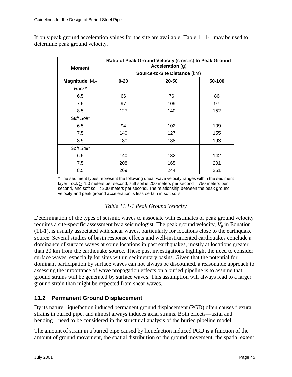| <b>Moment</b>    | Ratio of Peak Ground Velocity (cm/sec) to Peak Ground<br>Acceleration (g) |       |        |  |
|------------------|---------------------------------------------------------------------------|-------|--------|--|
|                  | Source-to-Site Distance (km)                                              |       |        |  |
| Magnitude, $M_W$ | $0 - 20$                                                                  | 20-50 | 50-100 |  |
| Rock*            |                                                                           |       |        |  |
| 6.5              | 66                                                                        | 76    | 86     |  |
| 7.5              | 97                                                                        | 109   | 97     |  |
| 8.5              | 127                                                                       | 140   | 152    |  |
| Stiff Soil*      |                                                                           |       |        |  |
| 6.5              | 94                                                                        | 102   | 109    |  |
| 7.5              | 140                                                                       | 127   | 155    |  |
| 8.5              | 180                                                                       | 188   | 193    |  |
| Soft Soil*       |                                                                           |       |        |  |
| 6.5              | 140                                                                       | 132   | 142    |  |
| 7.5              | 208                                                                       | 165   | 201    |  |
| 8.5              | 269                                                                       | 244   | 251    |  |

If only peak ground acceleration values for the site are available, Table 11.1-1 may be used to determine peak ground velocity.

> \* The sediment types represent the following shear wave velocity ranges within the sediment layer:  $rock \ge 750$  meters per second, stiff soil is 200 meters per second – 750 meters per second, and soft soil < 200 meters per second. The relationship between the peak ground velocity and peak ground acceleration is less certain in soft soils.

### *Table 11.1-1 Peak Ground Velocity*

Determination of the types of seismic waves to associate with estimates of peak ground velocity requires a site-specific assessment by a seismologist. The peak ground velocity,  $V_g$  in Equation (11-1), is usually associated with shear waves, particularly for locations close to the earthquake source. Several studies of basin response effects and well-instrumented earthquakes conclude a dominance of surface waves at some locations in past earthquakes, mostly at locations greater than 20 km from the earthquake source. These past investigations highlight the need to consider surface waves, especially for sites within sedimentary basins. Given that the potential for dominant participation by surface waves can not always be discounted, a reasonable approach to assessing the importance of wave propagation effects on a buried pipeline is to assume that ground strains will be generated by surface waves. This assumption will always lead to a larger ground strain than might be expected from shear waves.

## **11.2 Permanent Ground Displacement**

By its nature, liquefaction induced permanent ground displacement (PGD) often causes flexural strains in buried pipe, and almost always induces axial strains. Both effects—axial and bending—need to be considered in the structural analysis of the buried pipeline model.

The amount of strain in a buried pipe caused by liquefaction induced PGD is a function of the amount of ground movement, the spatial distribution of the ground movement, the spatial extent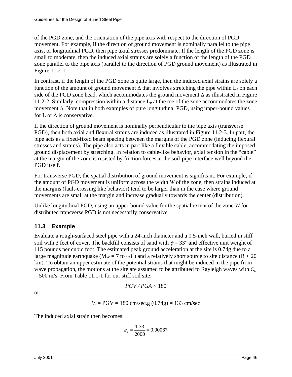of the PGD zone, and the orientation of the pipe axis with respect to the direction of PGD movement. For example, if the direction of ground movement is nominally parallel to the pipe axis, or longitudinal PGD, then pipe axial stresses predominate. If the length of the PGD zone is small to moderate, then the induced axial strains are solely a function of the length of the PGD zone parallel to the pipe axis (parallel to the direction of PGD ground movement) as illustrated in Figure 11.2-1.

In contrast, if the length of the PGD zone is quite large, then the induced axial strains are solely a function of the amount of ground movement  $\Delta$  that involves stretching the pipe within L<sub>e</sub> on each side of the PGD zone head, which accommodates the ground movement ∆ as illustrated in Figure 11.2-2. Similarly, compression within a distance  $L<sub>e</sub>$  at the toe of the zone accommodates the zone movement ∆. Note that in both examples of pure longitudinal PGD, using upper-bound values for L or  $\Delta$  is conservative.

If the direction of ground movement is nominally perpendicular to the pipe axis (transverse PGD), then both axial and flexural strains are induced as illustrated in Figure 11.2-3. In part, the pipe acts as a fixed-fixed beam spacing between the margins of the PGD zone (inducing flexural stresses and strains). The pipe also acts in part like a flexible cable, accommodating the imposed ground displacement by stretching. In relation to cable-like behavior, axial tension in the "cable" at the margin of the zone is resisted by friction forces at the soil-pipe interface well beyond the PGD itself.

For transverse PGD, the spatial distribution of ground movement is significant. For example, if the amount of PGD movement is uniform across the width *W* of the zone, then strains induced at the margins (fault-crossing like behavior) tend to be larger than in the case where ground movements are small at the margin and increase gradually towards the center (distribution).

Unlike longitudinal PGD, using an upper-bound value for the spatial extent of the zone *W* for distributed transverse PGD is not necessarily conservative.

## **11.3 Example**

Evaluate a rough-surfaced steel pipe with a 24-inch diameter and a 0.5-inch wall, buried in stiff soil with 3 feet of cover. The backfill consists of sand with  $\phi = 33^{\circ}$  and effective unit weight of 115 pounds per cubic foot. The estimated peak ground acceleration at the site is 0.74g due to a large magnitude earthquake ( $M_W = 7$  to  $\sim 8^+$ ) and a relatively short source to site distance (R < 20 km). To obtain an upper estimate of the potential strains that might be induced in the pipe from wave propagation, the motions at the site are assumed to be attributed to Rayleigh waves with *Cs*  $= 500$  m/s. From Table 11.1-1 for our stiff soil site:

$$
PGV/PGA \sim 180
$$

or:

$$
V_s = PGV = 180 \text{ cm/sec}.
$$
g  $(0.74g) = 133 \text{ cm/sec}$ 

The induced axial strain then becomes:

$$
\varepsilon_a = \frac{1.33}{2000} = 0.00067
$$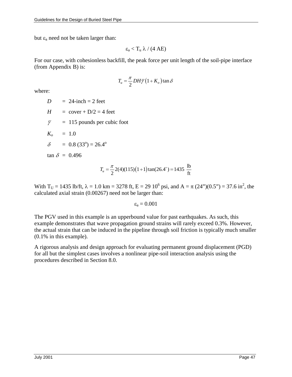but  $\varepsilon_a$  need not be taken larger than:

$$
\epsilon_a < T_u \ \lambda \ /\ (4 \ AE)
$$

For our case, with cohesionless backfill, the peak force per unit length of the soil-pipe interface (from Appendix B) is:

$$
T_u = \frac{\pi}{2} DH \overline{\gamma} (1 + K_o) \tan \delta
$$

where:

 $D = 24$ -inch = 2 feet

- $H = \text{cover} + D/2 = 4 \text{ feet}$
- $\bar{y}$  = 115 pounds per cubic foot
- $K_o = 1.0$
- $\delta = 0.8 (33^{\circ}) = 26.4^{\circ}$

 $\tan \delta = 0.496$ 

$$
T_u = \frac{\pi}{2} 2(4)(115)(1+1)\tan(26.4^\circ) = 1435 \frac{\text{lb}}{\text{ft}}
$$

With T<sub>U</sub> = 1435 lb/ft,  $\lambda$  = 1.0 km = 3278 ft, E = 29 10<sup>6</sup> psi, and A =  $\pi$  (24")(0.5") = 37.6 in<sup>2</sup>, the calculated axial strain (0.00267) need not be larger than:

 $\varepsilon_a = 0.001$ 

The PGV used in this example is an upperbound value for past earthquakes. As such, this example demonstrates that wave propagation ground strains will rarely exceed 0.3%. However, the actual strain that can be induced in the pipeline through soil friction is typically much smaller (0.1% in this example).

A rigorous analysis and design approach for evaluating permanent ground displacement (PGD) for all but the simplest cases involves a nonlinear pipe-soil interaction analysis using the procedures described in Section 8.0.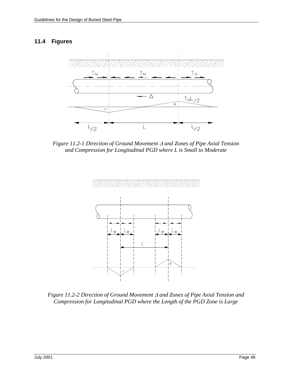#### **11.4 Figures**



*Figure 11.2-1 Direction of Ground Movement and Zones of Pipe Axial Tension and Compression for Longitudinal PGD where L is Small to Moderate* 



*Figure 11.2-2 Direction of Ground Movement*  $\Delta$  *and Zones of Pipe Axial Tension and Compression for Longitudinal PGD where the Length of the PGD Zone is Large*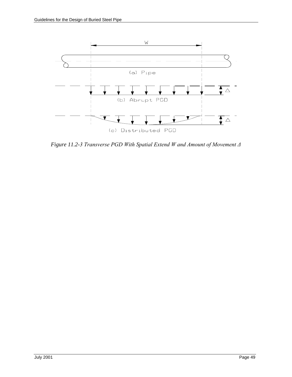

Figure 11.2-3 Transverse PGD With Spatial Extend W and Amount of Movement  $\varDelta$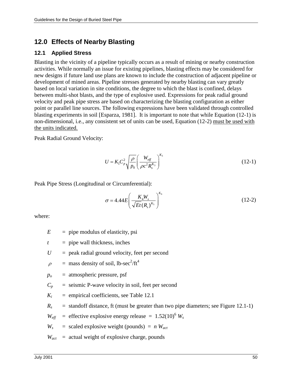# **12.0 Effects of Nearby Blasting**

### **12.1 Applied Stress**

Blasting in the vicinity of a pipeline typically occurs as a result of mining or nearby construction activities. While normally an issue for existing pipelines, blasting effects may be considered for new designs if future land use plans are known to include the construction of adjacent pipeline or development of mined areas. Pipeline stresses generated by nearby blasting can vary greatly based on local variation in site conditions, the degree to which the blast is confined, delays between multi-shot blasts, and the type of explosive used. Expressions for peak radial ground velocity and peak pipe stress are based on characterizing the blasting configuration as either point or parallel line sources. The following expressions have been validated through controlled blasting experiments in soil [Esparza, 1981]. It is important to note that while Equation (12-1) is non-dimensional, i.e., any consistent set of units can be used, Equation (12-2) must be used with the units indicated.

Peak Radial Ground Velocity:

$$
U = K_1 C_p^2 \sqrt{\frac{\rho}{p_0}} \left( \frac{W_{\text{eff}}}{\rho c^2 R_s^{K_3}} \right)^{K_3}
$$
 (12-1)

Peak Pipe Stress (Longitudinal or Circumferential):

$$
\sigma = 4.44 E \left( \frac{K_4 W_s}{\sqrt{Et} (R_s)^{K_s}} \right)^{K_6}
$$
 (12-2)

where:

- $E$  = pipe modulus of elasticity, psi
- $t =$  pipe wall thickness, inches
- $U =$  peak radial ground velocity, feet per second

$$
\rho
$$
 = mass density of soil, lb-sec<sup>2</sup>/ft<sup>4</sup>

- $p<sub>o</sub>$  = atmospheric pressure, psf
- $C_p$  = seismic P-wave velocity in soil, feet per second
- $K_i$  = empirical coefficients, see Table 12.1

 $R<sub>s</sub>$  = standoff distance, ft (must be greater than two pipe diameters; see Figure 12.1-1)

 $W_{\text{eff}}$  = effective explosive energy release =  $1.52(10)^6$   $W_s$ 

 $W_s$  = scaled explosive weight (pounds) = *n*  $W_{act}$ 

 $W_{act}$  = actual weight of explosive charge, pounds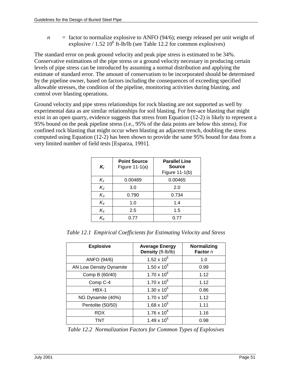$n =$  factor to normalize explosive to ANFO (94/6); energy released per unit weight of explosive  $/ 1.52 10^6$  ft-lb/lb (see Table 12.2 for common explosives)

The standard error on peak ground velocity and peak pipe stress is estimated to be 34%. Conservative estimations of the pipe stress or a ground velocity necessary in producing certain levels of pipe stress can be introduced by assuming a normal distribution and applying the estimate of standard error. The amount of conservatism to be incorporated should be determined by the pipeline owner, based on factors including the consequences of exceeding specified allowable stresses, the condition of the pipeline, monitoring activities during blasting, and control over blasting operations.

Ground velocity and pipe stress relationships for rock blasting are not supported as well by experimental data as are similar relationships for soil blasting. For free-ace blasting that might exist in an open quarry, evidence suggests that stress from Equation (12-2) is likely to represent a 95% bound on the peak pipeline stress (i.e., 95% of the data points are below this stress). For confined rock blasting that might occur when blasting an adjacent trench, doubling the stress computed using Equation (12-2) has been shown to provide the same 95% bound for data from a very limited number of field tests [Esparza, 1991].

| $K_i$   | <b>Point Source</b><br>Figure $11-1(a)$ | <b>Parallel Line</b><br><b>Source</b><br>Figure 11-1(b) |
|---------|-----------------------------------------|---------------------------------------------------------|
| $K_{1}$ | 0.00489                                 | 0.00465                                                 |
| $K_2$   | 3.0                                     | 2.0                                                     |
| $K_3$   | 0.790                                   | 0.734                                                   |
| $K_4$   | 1.0                                     | 1.4                                                     |
| $K_5$   | 2.5                                     | 1.5                                                     |
| $K_{6}$ | 0.77                                    | 0.77                                                    |

*Table 12.1 Empirical Coefficients for Estimating Velocity and Stress* 

| <b>Explosive</b>               | <b>Average Energy</b><br>Density (ft-lb/lb) | Normalizing<br>Factor n |
|--------------------------------|---------------------------------------------|-------------------------|
| ANFO (94/6)                    | 1.52 x $10^6$                               | 1.0                     |
| <b>AN Low Density Dynamite</b> | $1.50 \times 10^{6}$                        | 0.99                    |
| Comp B (60/40)                 | $1.70 \times 10^{6}$                        | 1.12                    |
| Comp C-4                       | $1.70 \times 10^{6}$                        | 1.12                    |
| $HBX-1$                        | $1.30 \times 10^{6}$                        | 0.86                    |
| NG Dynamite (40%)              | $1.70 \times 10^{6}$                        | 1.12                    |
| Pentolite (50/50)              | $1.68 \times 10^{6}$                        | 1.11                    |
| <b>RDX</b>                     | $1.76 \times 10^{6}$                        | 1.16                    |
| TNT                            | $1.49 \times 10^{6}$                        | 0.98                    |

*Table 12.2 Normalization Factors for Common Types of Explosives*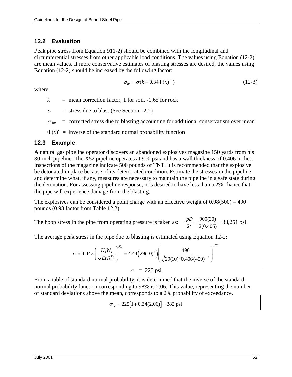### **12.2 Evaluation**

Peak pipe stress from Equation 911-2) should be combined with the longitudinal and circumferential stresses from other applicable load conditions. The values using Equation (12-2) are mean values. If more conservative estimates of blasting stresses are desired, the values using Equation (12-2) should be increased by the following factor:

$$
\sigma_{be} = \sigma(k + 0.34\Phi(x)^{-1})\tag{12-3}
$$

where:

 $k$  = mean correction factor, 1 for soil,  $-1.65$  for rock

 $\sigma$  = stress due to blast (See Section 12.2)

 $\sigma_{be}$  = corrected stress due to blasting accounting for additional conservatism over mean

 $\Phi(x)^{-1}$  = inverse of the standard normal probability function

#### **12.3 Example**

A natural gas pipeline operator discovers an abandoned explosives magazine 150 yards from his 30-inch pipeline. The X52 pipeline operates at 900 psi and has a wall thickness of 0.406 inches. Inspections of the magazine indicate 500 pounds of TNT. It is recommended that the explosive be detonated in place because of its deteriorated condition. Estimate the stresses in the pipeline and determine what, if any, measures are necessary to maintain the pipeline in a safe state during the detonation. For assessing pipeline response, it is desired to have less than a 2% chance that the pipe will experience damage from the blasting.

The explosives can be considered a point charge with an effective weight of  $0.98(500) = 490$ pounds (0.98 factor from Table 12.2).

The hoop stress in the pipe from operating pressure is taken as:  $2t \quad 2(0.406)$  $\frac{pD}{2t} = \frac{900(30)}{2(0.406)} = 33,251 \text{ psi}$ 

The average peak stress in the pipe due to blasting is estimated using Equation 12-2:

$$
\sigma = 4.44 E \left( \frac{K_4 W_s}{\sqrt{E t} R_s^{K_5}} \right)^{K_6} = 4.44 \left( 29(10)^6 \right) \left( \frac{490}{\sqrt{29(10)^6 0.406 (450)^{2.5}}} \right)^{0.77}
$$

$$
\sigma = 225 \text{ psi}
$$

From a table of standard normal probability, it is determined that the inverse of the standard normal probability function corresponding to 98% is 2.06. This value, representing the number of standard deviations above the mean, corresponds to a 2% probability of exceedance.

$$
\sigma_{be} = 225[1 + 0.34(2.06)] = 382
$$
psi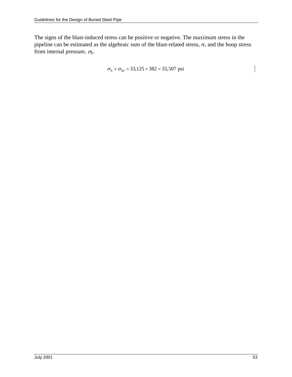The signs of the blast-induced stress can be positive or negative. The maximum stress in the pipeline can be estimated as the algebraic sum of the blast-related stress,  $\sigma$ , and the hoop stress from internal pressure, <sup>σ</sup>*h*.

 $\sigma_h + \sigma_{be} = 33,125 + 382 = 33,507$  psi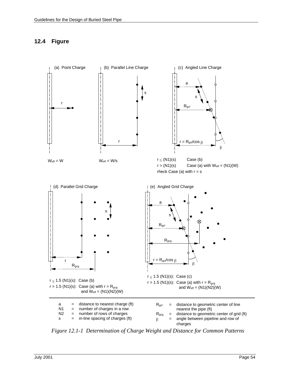# **12.4 Figure**



*Figure 12.1-1 Determination of Charge Weight and Distance for Common Patterns*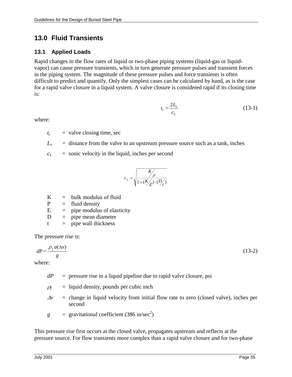# **13.0 Fluid Transients**

### **13.1 Applied Loads**

Rapid changes in the flow rates of liquid or two-phase piping systems (liquid-gas or liquidvapor) can cause pressure transients, which in turn generate pressure pulses and transient forces in the piping system. The magnitude of these pressure pulses and force transients is often difficult to predict and quantify. Only the simplest cases can be calculated by hand, as is the case for a rapid valve closure in a liquid system. A valve closure is considered rapid if its closing time is:

$$
t_c = \frac{2L_v}{c_L} \tag{13-1}
$$

where:

 $t_c$  = valve closing time, sec

 $L_v$  = distance from the valve to an upstream pressure source such as a tank, inches

 $c_l$  = sonic velocity in the liquid, inches per second

$$
c_L = \sqrt{\frac{K_{\rho}}{1 + (K_{\rho\!\!\!\!\!\!/\,r})\cdot (D_{\rho\!\!\!\!\!/\,r})}}
$$

 $K = bulk$  modulus of fluid

 $P$  $=$  fluid density

 $E =$  pipe modulus of elasticity

 $D =$  pipe mean diameter

 $t =$  pipe wall thickness

The pressure rise is:

$$
dP = \frac{\rho_f a(\Delta v)}{g} \tag{13-2}
$$

where:

 $dP$  = pressure rise in a liquid pipeline due to rapid valve closure, psi

 *= liquid density, pounds per cubic inch* 

- $\Delta v$  = change in liquid velocity from initial flow rate to zero (closed valve), inches per second
- $g =$  gravitational coefficient (386 in/sec<sup>2</sup>)

This pressure rise first occurs at the closed valve, propagates upstream and reflects at the pressure source. For flow transients more complex than a rapid valve closure and for two-phase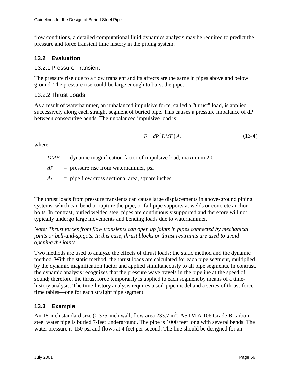flow conditions, a detailed computational fluid dynamics analysis may be required to predict the pressure and force transient time history in the piping system.

## **13.2 Evaluation**

### 13.2.1 Pressure Transient

The pressure rise due to a flow transient and its affects are the same in pipes above and below ground. The pressure rise could be large enough to burst the pipe.

## 13.2.2 Thrust Loads

As a result of waterhammer, an unbalanced impulsive force, called a "thrust" load, is applied successively along each straight segment of buried pipe. This causes a pressure imbalance of dP between consecutive bends. The unbalanced impulsive load is:

$$
F = dP(DMF) A_f \tag{13-4}
$$

where:

- *DMF* = dynamic magnification factor of impulsive load, maximum 2.0
- *dP* = pressure rise from waterhammer, psi
- $A_f$  = pipe flow cross sectional area, square inches

The thrust loads from pressure transients can cause large displacements in above-ground piping systems, which can bend or rupture the pipe, or fail pipe supports at welds or concrete anchor bolts. In contrast, buried welded steel pipes are continuously supported and therefore will not typically undergo large movements and bending loads due to waterhammer.

*Note: Thrust forces from flow transients can open up joints in pipes connected by mechanical joints or bell-and-spigots. In this case, thrust blocks or thrust restraints are used to avoid opening the joints.* 

Two methods are used to analyze the effects of thrust loads: the static method and the dynamic method. With the static method, the thrust loads are calculated for each pipe segment, multiplied by the dynamic magnification factor and applied simultaneously to all pipe segments. In contrast, the dynamic analysis recognizes that the pressure wave travels in the pipeline at the speed of sound; therefore, the thrust force temporarily is applied to each segment by means of a timehistory analysis. The time-history analysis requires a soil-pipe model and a series of thrust-force time tables—one for each straight pipe segment.

# **13.3 Example**

An 18-inch standard size  $(0.375$ -inch wall, flow area 233.7 in<sup>2</sup>) ASTM A 106 Grade B carbon steel water pipe is buried 7-feet underground. The pipe is 1000 feet long with several bends. The water pressure is 150 psi and flows at 4 feet per second. The line should be designed for an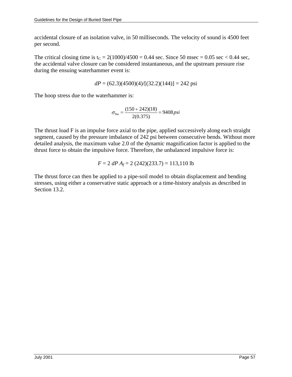accidental closure of an isolation valve, in 50 milliseconds. The velocity of sound is 4500 feet per second.

The critical closing time is  $t_C = 2(1000)/4500 = 0.44$  sec. Since 50 msec = 0.05 sec < 0.44 sec, the accidental valve closure can be considered instantaneous, and the upstream pressure rise during the ensuing waterhammer event is:

$$
dP = (62.3)(4500)(4)/[(32.2)(144)] = 242 \text{ psi}
$$

The hoop stress due to the waterhammer is:

$$
\sigma_{hw} = \frac{(150 + 242)(18)}{2(0.375)} = 9408 \, psi
$$

The thrust load F is an impulse force axial to the pipe, applied successively along each straight segment, caused by the pressure imbalance of 242 psi between consecutive bends. Without more detailed analysis, the maximum value 2.0 of the dynamic magnification factor is applied to the thrust force to obtain the impulsive force. Therefore, the unbalanced impulsive force is:

$$
F = 2 \, dP \, A_f = 2 \, (242)(233.7) = 113,110 \, \text{lb}
$$

The thrust force can then be applied to a pipe-soil model to obtain displacement and bending stresses, using either a conservative static approach or a time-history analysis as described in Section 13.2.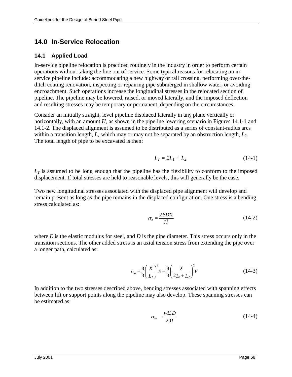# **14.0 In-Service Relocation**

#### **14.1 Applied Load**

In-service pipeline relocation is practiced routinely in the industry in order to perform certain operations without taking the line out of service. Some typical reasons for relocating an inservice pipeline include: accommodating a new highway or rail crossing, performing over-theditch coating renovation, inspecting or repairing pipe submerged in shallow water, or avoiding encroachment. Such operations increase the longitudinal stresses in the relocated section of pipeline. The pipeline may be lowered, raised, or moved laterally, and the imposed deflection and resulting stresses may be temporary or permanent, depending on the circumstances.

Consider an initially straight, level pipeline displaced laterally in any plane vertically or horizontally, with an amount *H*, as shown in the pipeline lowering scenario in Figures 14.1-1 and 14.1-2. The displaced alignment is assumed to be distributed as a series of constant-radius arcs within a transition length,  $L_1$  which may or may not be separated by an obstruction length,  $L_2$ . The total length of pipe to be excavated is then:

$$
L_T = 2L_1 + L_2 \tag{14-1}
$$

 $L<sub>T</sub>$  is assumed to be long enough that the pipeline has the flexibility to conform to the imposed displacement. If total stresses are held to reasonable levels, this will generally be the case.

Two new longitudinal stresses associated with the displaced pipe alignment will develop and remain present as long as the pipe remains in the displaced configuration. One stress is a bending stress calculated as:

$$
\sigma_b = \frac{2EDX}{L_1^2} \tag{14-2}
$$

where *E* is the elastic modulus for steel, and *D* is the pipe diameter. This stress occurs only in the transition sections. The other added stress is an axial tension stress from extending the pipe over a longer path, calculated as:

$$
\sigma_a = \frac{8}{3} \left( \frac{X}{L_T} \right)^2 E = \frac{8}{3} \left( \frac{X}{2L_1 + L_2} \right)^2 E \tag{14-3}
$$

In addition to the two stresses described above, bending stresses associated with spanning effects between lift or support points along the pipeline may also develop. These spanning stresses can be estimated as:

$$
\sigma_{bs} = \frac{wL_s^2 D}{20I} \tag{14-4}
$$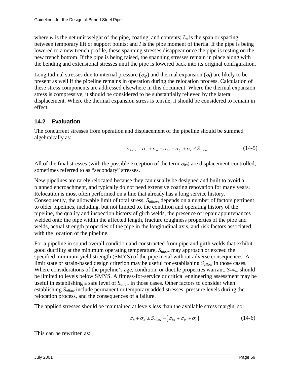where *w* is the net unit weight of the pipe, coating, and contents;  $L_s$  is the span or spacing between temporary lift or support points; and *I* is the pipe moment of inertia. If the pipe is being lowered to a new trench profile, these spanning stresses disappear once the pipe is resting on the new trench bottom. If the pipe is being raised, the spanning stresses remain in place along with the bending and extensional stresses until the pipe is lowered back into its original configuration.

Longitudinal stresses due to internal pressure ( $\sigma_{lp}$ ) and thermal expansion ( $\sigma_t$ ) are likely to be present as well if the pipeline remains in operation during the relocation process. Calculation of these stress components are addressed elsewhere in this document. Where the thermal expansion stress is compressive, it should be considered to be substantially relieved by the lateral displacement. Where the thermal expansion stress is tensile, it should be considered to remain in effect.

## **14.2 Evaluation**

The concurrent stresses from operation and displacement of the pipeline should be summed algebraically as:

$$
\sigma_{total} = \sigma_b + \sigma_a + \sigma_{bs} + \sigma_{lp} + \sigma_t \le S_{allow}
$$
 (14-5)

All of the final stresses (with the possible exception of the term  $\sigma_{bs}$ ) are displacement-controlled, sometimes referred to as "secondary" stresses.

New pipelines are rarely relocated because they can usually be designed and built to avoid a planned encroachment, and typically do not need extensive coating renovation for many years. Relocation is most often performed on a line that already has a long service history. Consequently, the allowable limit of total stress, *Sallow*, depends on a number of factors pertinent to older pipelines, including, but not limited to, the condition and operating history of the pipeline, the quality and inspection history of girth welds, the presence of repair appurtenances welded onto the pipe within the affected length, fracture toughness properties of the pipe and welds, actual strength properties of the pipe in the longitudinal axis, and risk factors associated with the location of the pipeline.

For a pipeline in sound overall condition and constructed from pipe and girth welds that exhibit good ductility at the minimum operating temperature, *Sallow* may approach or exceed the specified minimum yield strength (SMYS) of the pipe metal without adverse consequences. A limit state or strain-based design criterion may be useful for establishing *Sallow* in those cases. Where considerations of the pipeline's age, condition, or ductile properties warrant, *S<sub>allow</sub>* should be limited to levels below SMYS. A fitness-for-service or critical engineering assessment may be useful in establishing a safe level of *Sallow* in those cases. Other factors to consider when establishing *Sallow* include permanent or temporary added stresses, pressure levels during the relocation process, and the consequences of a failure.

The applied stresses should be maintained at levels less than the available stress margin, so:

$$
\sigma_{b} + \sigma_{a} \leq S_{allow} - \left(\sigma_{bs} + \sigma_{lp} + \sigma_{t}\right) \tag{14-6}
$$

This can be rewritten as: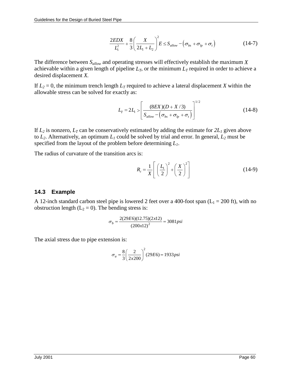$$
\frac{2EDX}{L_1^2} + \frac{8}{3} \left( \frac{X}{2L_1 + L_2} \right)^2 E \le S_{allow} - \left( \sigma_{bs} + \sigma_{lp} + \sigma_t \right)
$$
(14-7)

The difference between *Sallow* and operating stresses will effectively establish the maximum *X* achievable within a given length of pipeline  $L_T$ , or the minimum  $L_T$  required in order to achieve a desired displacement *X.*

If  $L_2 = 0$ , the minimum trench length  $L_T$  required to achieve a lateral displacement *X* within the allowable stress can be solved for exactly as:

$$
L_{T} = 2L_{1} > \left[ \frac{(8EX)(D+X/3)}{S_{allow} - (\sigma_{bs} + \sigma_{lp} + \sigma_{l})} \right]^{1/2}
$$
 (14-8)

If  $L_2$  is nonzero,  $L_T$  can be conservatively estimated by adding the estimate for  $2L_1$  given above to  $L_2$ . Alternatively, an optimum  $L_1$  could be solved by trial and error. In general,  $L_2$  must be specified from the layout of the problem before determining *L1*.

The radius of curvature of the transition arcs is:

$$
R_c = \frac{1}{X} \left[ \left( \frac{L_1}{2} \right)^2 + \left( \frac{X}{2} \right)^2 \right]
$$
 (14-9)

### **14.3 Example**

A 12-inch standard carbon steel pipe is lowered 2 feet over a 400-foot span ( $L_1 = 200$  ft), with no obstruction length ( $L_2 = 0$ ). The bending stress is:

$$
\sigma_b = \frac{2(29E6)(12.75)(2x12)}{(200x12)^2} = 3081psi
$$

The axial stress due to pipe extension is:

$$
\sigma_a = \frac{8}{3} \left( \frac{2}{2 \times 200} \right)^2 (29E6) = 1933 \, \text{psi}
$$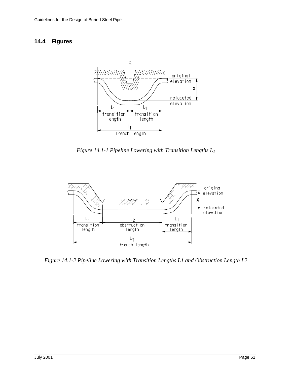#### **14.4 Figures**



*Figure 14.1-1 Pipeline Lowering with Transition Lengths L1* 



*Figure 14.1-2 Pipeline Lowering with Transition Lengths L1 and Obstruction Length L2*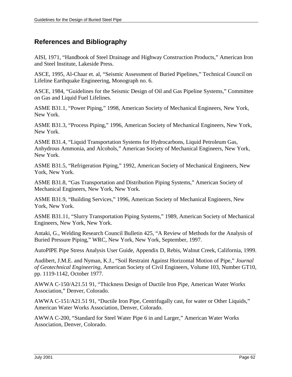# **References and Bibliography**

AISI, 1971, "Handbook of Steel Drainage and Highway Construction Products," American Iron and Steel Institute, Lakeside Press.

ASCE, 1995, Al-Chaar et. al, "Seismic Assessment of Buried Pipelines," Technical Council on Lifeline Earthquake Engineering, Monograph no. 6.

ASCE, 1984, "Guidelines for the Seismic Design of Oil and Gas Pipeline Systems," Committee on Gas and Liquid Fuel Lifelines.

ASME B31.1, "Power Piping," 1998, American Society of Mechanical Engineers, New York, New York.

ASME B31.3, "Process Piping," 1996, American Society of Mechanical Engineers, New York, New York.

ASME B31.4, "Liquid Transportation Systems for Hydrocarbons, Liquid Petroleum Gas, Anhydrous Ammonia, and Alcohols," American Society of Mechanical Engineers, New York, New York.

ASME B31.5, "Refrigeration Piping," 1992, American Society of Mechanical Engineers, New York, New York.

ASME B31.8, "Gas Transportation and Distribution Piping Systems," American Society of Mechanical Engineers, New York, New York.

ASME B31.9, "Building Services," 1996, American Society of Mechanical Engineers, New York, New York.

ASME B31.11, "Slurry Transportation Piping Systems," 1989, American Society of Mechanical Engineers, New York, New York.

Antaki, G., Welding Research Council Bulletin 425, "A Review of Methods for the Analysis of Buried Pressure Piping," WRC, New York, New York, September, 1997.

AutoPIPE Pipe Stress Analysis User Guide, Appendix D, Rebis, Walnut Creek, California, 1999.

Audibert, J.M.E. and Nyman, K.J., "Soil Restraint Against Horizontal Motion of Pipe," *Journal of Geotechnical Engineering*, American Society of Civil Engineers, Volume 103, Number GT10, pp. 1119-1142, October 1977.

AWWA C-150/A21.51 91, "Thickness Design of Ductile Iron Pipe, American Water Works Association," Denver, Colorado.

AWWA C-151/A21.51 91, "Ductile Iron Pipe, Centrifugally cast, for water or Other Liquids," American Water Works Association, Denver, Colorado.

AWWA C-200, "Standard for Steel Water Pipe 6 in and Larger," American Water Works Association, Denver, Colorado.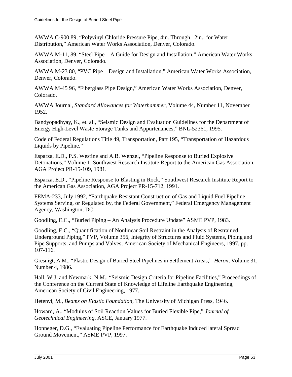AWWA C-900 89, "Polyvinyl Chloride Pressure Pipe, 4in. Through 12in., for Water Distribution," American Water Works Association, Denver, Colorado.

AWWA M-11, 89, "Steel Pipe – A Guide for Design and Installation," American Water Works Association, Denver, Colorado.

AWWA M-23 80, "PVC Pipe – Design and Installation," American Water Works Association, Denver, Colorado.

AWWA M-45 96, "Fiberglass Pipe Design," American Water Works Association, Denver, Colorado.

AWWA Journal, *Standard Allowances for Waterhammer*, Volume 44, Number 11, November 1952.

Bandyopadhyay, K., et. al., "Seismic Design and Evaluation Guidelines for the Department of Energy High-Level Waste Storage Tanks and Appurtenances," BNL-52361, 1995.

Code of Federal Regulations Title 49, Transportation, Part 195, "Transportation of Hazardous Liquids by Pipeline."

Esparza, E.D., P.S. Westine and A.B. Wenzel, "Pipeline Response to Buried Explosive Detonations," Volume 1, Southwest Research Institute Report to the American Gas Association, AGA Project PR-15-109, 1981.

Esparza, E.D., "Pipeline Response to Blasting in Rock," Southwest Research Institute Report to the American Gas Association, AGA Project PR-15-712, 1991.

FEMA-233, July 1992, "Earthquake Resistant Construction of Gas and Liquid Fuel Pipeline Systems Serving, or Regulated by, the Federal Government," Federal Emergency Management Agency, Washington, DC.

Goodling, E.C., "Buried Piping – An Analysis Procedure Update" ASME PVP, 1983.

Goodling, E.C., "Quantification of Nonlinear Soil Restraint in the Analysis of Restrained Underground Piping," PVP, Volume 356, Integrity of Structures and Fluid Systems, Piping and Pipe Supports, and Pumps and Valves, American Society of Mechanical Engineers, 1997, pp. 107-116.

Gresnigt, A.M., "Plastic Design of Buried Steel Pipelines in Settlement Areas," *Heron*, Volume 31, Number 4, 1986.

Hall, W.J. and Newmark, N.M., "Seismic Design Criteria for Pipeline Facilities," Proceedings of the Conference on the Current State of Knowledge of Lifeline Earthquake Engineering, American Society of Civil Engineering, 1977.

Hetenyi, M., *Beams on Elastic Foundation*, The University of Michigan Press, 1946.

Howard, A., "Modulus of Soil Reaction Values for Buried Flexible Pipe," *Journal of Geotechnical Engineering,* ASCE, January 1977.

Honneger, D.G., "Evaluating Pipeline Performance for Earthquake Induced lateral Spread Ground Movement," ASME PVP, 1997.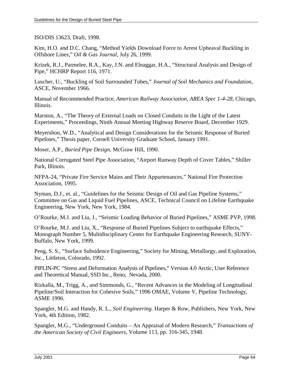ISO/DIS 13623, Draft, 1998.

Kim, H.O. and D.C. Chang, "Method Yields Download Force to Arrest Upheaval Buckling in Offshore Lines," *Oil & Gas Journal*, July 26, 1999.

Krizek, R.J., Parmelee, R.A., Kay, J.N. and Elnaggar, H.A., "Structural Analysis and Design of Pipe," HCHRP Report 116, 1971.

Luscher, U., "Buckling of Soil Surrounded Tubes," *Journal of Soil Mechanics and Foundation,*  ASCE, November 1966.

Manual of Recommended Practice, *American Railway Association, AREA Spec 1-4-28,* Chicago, Illinois.

Marston, A., "The Theory of External Loads on Closed Conduits in the Light of the Latest Experiments," Proceedings, Ninth Annual Meeting Highway Reserve Board, December 1929.

Meyershon, W.D., "Analytical and Design Considerations for the Seismic Response of Buried Pipelines," Thesis paper, Cornell University Graduate School, January 1991.

Moser, A.P., *Buried Pipe Design*, McGraw Hill, 1990.

National Corrugated Steel Pipe Association, "Airport Runway Depth of Cover Tables," Shiller Park, Illinois.

NFPA-24, "Private Fire Service Mains and Their Appurtenances," National Fire Protection Association, 1995.

Nyman, D.J., et. al., "Guidelines for the Seismic Design of Oil and Gas Pipeline Systems," Committee on Gas and Liquid Fuel Pipelines, ASCE, Technical Council on Lifeline Earthquake Engineering, New York, New York, 1984.

O'Rourke, M.J. and Liu, J., "Seismic Loading Behavior of Buried Pipelines," ASME PVP, 1998.

O'Rourke, M.J. and Liu, X., "Response of Buried Pipelines Subject to earthquake Effects," Monograph Number 5, Multidisciplinary Center for Earthquake Engineering Research, SUNY-Buffalo, New York, 1999.

Peng, S. S., "Surface Subsidence Engineering," Society for Mining, Metallurgy, and Exploration, Inc., Littleton, Colorado, 1992.

PIPLIN-PC "Stress and Deformation Analysis of Pipelines," Version 4.0 Arctic, User Reference and Theoretical Manual, SSD Inc., Reno, Nevada, 2000.

Rizkalla, M., Trigg, A., and Simmonds, G., "Recent Advances in the Modeling of Longitudinal Pipeline/Soil Interaction for Cohesive Soils," 1996 OMAE, Volume V, Pipeline Technology, ASME 1996.

Spangler, M.G. and Handy, R. L., *Soil Engineering.* Harper & Row, Publishers, New York, New York, 4th Edition, 1982.

Spangler, M.G., "Underground Conduits – An Appraisal of Modern Research," *Transactions of the American Society of Civil Engineers*, Volume 113, pp. 316-345, 1948.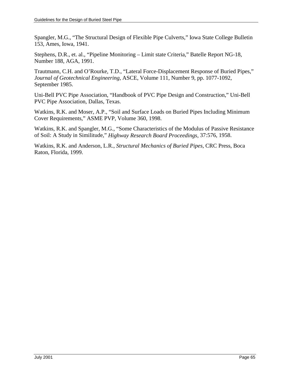Spangler, M.G., "The Structural Design of Flexible Pipe Culverts," Iowa State College Bulletin 153, Ames, Iowa, 1941.

Stephens, D.R., et. al., "Pipeline Monitoring – Limit state Criteria," Batelle Report NG-18, Number 188, AGA, 1991.

Trautmann, C.H. and O'Rourke, T.D., "Lateral Force-Displacement Response of Buried Pipes," *Journal of Geotechnical Engineering*, ASCE, Volume 111, Number 9, pp. 1077-1092, September 1985.

Uni-Bell PVC Pipe Association, "Handbook of PVC Pipe Design and Construction," Uni-Bell PVC Pipe Association, Dallas, Texas.

Watkins, R.K. and Moser, A.P., "Soil and Surface Loads on Buried Pipes Including Minimum Cover Requirements," ASME PVP, Volume 360, 1998.

Watkins, R.K. and Spangler, M.G., "Some Characteristics of the Modulus of Passive Resistance of Soil: A Study in Similitude," *Highway Research Board Proceedings,* 37:576, 1958.

Watkins, R.K. and Anderson, L.R., *Structural Mechanics of Buried Pipes,* CRC Press, Boca Raton, Florida, 1999.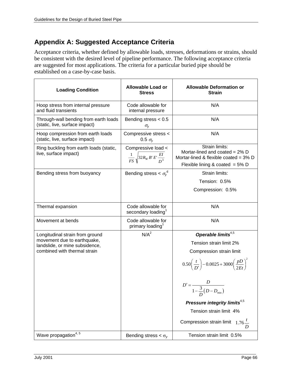# **Appendix A: Suggested Acceptance Criteria**

Acceptance criteria, whether defined by allowable loads, stresses, deformations or strains, should be consistent with the desired level of pipeline performance. The following acceptance criteria are suggested for most applications. The criteria for a particular buried pipe should be established on a case-by-case basis.

| <b>Loading Condition</b>                                                | <b>Allowable Load or</b><br><b>Stress</b>                          | <b>Allowable Deformation or</b><br><b>Strain</b>                                                                                      |
|-------------------------------------------------------------------------|--------------------------------------------------------------------|---------------------------------------------------------------------------------------------------------------------------------------|
| Hoop stress from internal pressure<br>and fluid transients              | Code allowable for<br>internal pressure                            | N/A                                                                                                                                   |
| Through-wall bending from earth loads<br>(static, live, surface impact) | Bending stress $< 0.5$<br>$\sigma_{y}$                             | N/A                                                                                                                                   |
| Hoop compression from earth loads<br>(static, live, surface impact)     | Compressive stress <<br>0.5 $\sigma_{v}$                           | N/A                                                                                                                                   |
| Ring buckling from earth loads (static,<br>live, surface impact)        | Compressive load <<br>$\frac{1}{FS}\sqrt{32R_WB'E'\frac{EI}{D^3}}$ | Strain limits:<br>Mortar-lined and coated = $2\%$ D<br>Mortar-lined & flexible coated = $3\%$ D<br>Flexible lining & coated = $5\%$ D |
| Bending stress from buoyancy                                            | Bending stress < $\sigma_{v}^{6}$                                  | Strain limits:                                                                                                                        |
|                                                                         |                                                                    | Tension: 0.5%                                                                                                                         |
|                                                                         |                                                                    | Compression: 0.5%                                                                                                                     |
| Thermal expansion                                                       | Code allowable for<br>secondary loading <sup>1</sup>               | N/A                                                                                                                                   |
| Movement at bends                                                       | Code allowable for<br>primary loading <sup>1</sup>                 | N/A                                                                                                                                   |
| Longitudinal strain from ground                                         | N/A <sup>2</sup>                                                   | Operable limits <sup>4,5</sup>                                                                                                        |
| movement due to earthquake,<br>landslide, or mine subsidence,           |                                                                    | Tension strain limit 2%                                                                                                               |
| combined with thermal strain                                            |                                                                    | Compression strain limit                                                                                                              |
|                                                                         |                                                                    | $0.50\left(\frac{t}{D'}\right) - 0.0025 + 3000\left(\frac{pD}{2Et}\right)^2$                                                          |
|                                                                         |                                                                    | $D' = \frac{D}{1 - \frac{3}{D}(D - D_{\min})}$                                                                                        |
|                                                                         |                                                                    | Pressure integrity limits <sup>4,5</sup>                                                                                              |
|                                                                         |                                                                    | Tension strain limit 4%                                                                                                               |
|                                                                         |                                                                    | Compression strain limit $1.76 -$                                                                                                     |
| Wave propagation <sup>4, 5</sup>                                        | Bending stress $<\sigma_{v}$                                       | Tension strain limit 0.5%                                                                                                             |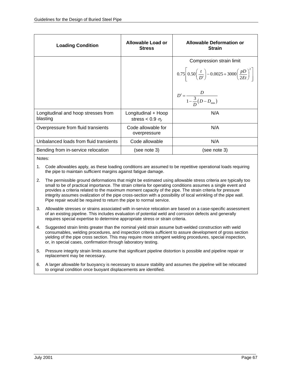| <b>Loading Condition</b>                        | Allowable Load or<br><b>Stress</b>               | <b>Allowable Deformation or</b><br><b>Strain</b>                                              |
|-------------------------------------------------|--------------------------------------------------|-----------------------------------------------------------------------------------------------|
|                                                 |                                                  | Compression strain limit                                                                      |
|                                                 |                                                  | $0.75\left[0.50\left(\frac{t}{D'}\right) - 0.0025 + 3000\left(\frac{pD}{2Et}\right)^2\right]$ |
|                                                 |                                                  | $D' = \frac{D}{1 - \frac{3}{D}(D - D_{\min})}$                                                |
| Longitudinal and hoop stresses from<br>blasting | Longitudinal + Hoop<br>stress < 0.9 $\sigma_{v}$ | N/A                                                                                           |
| Overpressure from fluid transients              | Code allowable for<br>overpressure               | N/A                                                                                           |
| Unbalanced loads from fluid transients          | Code allowable                                   | N/A                                                                                           |
| Bending from in-service relocation              | (see note 3)                                     | (see note 3)                                                                                  |
|                                                 |                                                  |                                                                                               |

Notes:

1. Code allowables apply, as these loading conditions are assumed to be repetitive operational loads requiring the pipe to maintain sufficient margins against fatigue damage.

- 2. The permissible ground deformations that might be estimated using allowable stress criteria are typically too small to be of practical importance. The strain criteria for operating conditions assumes a single event and provides a criteria related to the maximum moment capacity of the pipe. The strain criteria for pressure integrity assumes ovalization of the pipe cross-section with a possibility of local wrinkling of the pipe wall. Pipe repair would be required to return the pipe to normal service.
- 3. Allowable stresses or strains associated with in-service relocation are based on a case-specific assessment of an existing pipeline. This includes evaluation of potential weld and corrosion defects and generally requires special expertise to determine appropriate stress or strain criteria.
- 4. Suggested strain limits greater than the nominal yield strain assume butt-welded construction with weld consumables, welding procedures, and inspection criteria sufficient to assure development of gross section yielding of the pipe cross section. This may require more stringent welding procedures, special inspection, or, in special cases, confirmation through laboratory testing.
- 5. Pressure integrity strain limits assume that significant pipeline distortion is possible and pipeline repair or replacement may be necessary.
- 6. A larger allowable for buoyancy is necessary to assure stability and assumes the pipeline will be relocated to original condition once buoyant displacements are identified.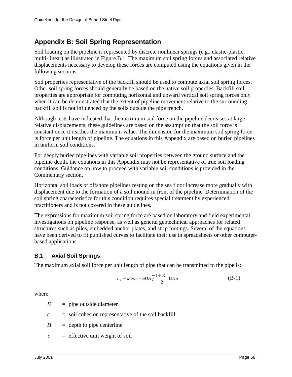## **Appendix B: Soil Spring Representation**

Soil loading on the pipeline is represented by discrete nonlinear springs (e.g., elastic-plastic, multi-linear) as illustrated in Figure B.1. The maximum soil spring forces and associated relative displacements necessary to develop these forces are computed using the equations given in the following sections.

Soil properties representative of the backfill should be used to compute axial soil spring forces. Other soil spring forces should generally be based on the native soil properties. Backfill soil properties are appropriate for computing horizontal and upward vertical soil spring forces only when it can be demonstrated that the extent of pipeline movement relative to the surrounding backfill soil is not influenced by the soils outside the pipe trench.

Although tests have indicated that the maximum soil force on the pipeline decreases at large relative displacements, these guidelines are based on the assumption that the soil force is constant once it reaches the maximum value. The dimension for the maximum soil spring force is force per unit length of pipeline. The equations in this Appendix are based on buried pipelines in uniform soil conditions.

For deeply buried pipelines with variable soil properties between the ground surface and the pipeline depth, the equations in this Appendix may not be representative of true soil loading conditions. Guidance on how to proceed with variable soil conditions is provided in the Commentary section.

Horizontal soil loads of offshore pipelines resting on the sea floor increase more gradually with displacement due to the formation of a soil mound in front of the pipeline. Determination of the soil spring characteristics for this condition requires special treatment by experienced practitioners and is not covered in these guidelines.

The expressions for maximum soil spring force are based on laboratory and field experimental investigations on pipeline response, as well as general geotechnical approaches for related structures such as piles, embedded anchor plates, and strip footings. Several of the equations have been derived to fit published curves to facilitate their use in spreadsheets or other computerbased applications.

## **B.1 Axial Soil Springs**

The maximum axial soil force per unit length of pipe that can be transmitted to the pipe is:

$$
T_U = \pi D \alpha c + \pi D H \gamma \frac{1 + K_0}{2} \tan \delta \tag{B-1}
$$

where:

 $D =$  pipe outside diameter

- $c =$  soil cohesion representative of the soil backfill
- $H =$  depth to pipe centerline
- $\overline{y}$  = effective unit weight of soil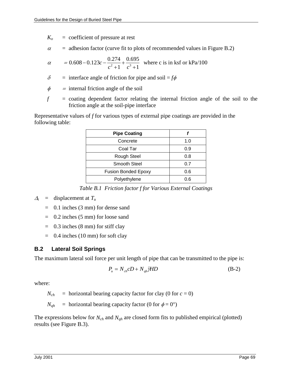- $K<sub>o</sub>$  = coefficient of pressure at rest
- $\alpha$ = adhesion factor (curve fit to plots of recommended values in Figure B.2)

$$
\alpha = 0.608 - 0.123c - \frac{0.274}{c^2 + 1} + \frac{0.695}{c^3 + 1}
$$
 where c is in ks for kPa/100

 $\delta$  = interface angle of friction for pipe and soil =  $f\phi$ 

 $\phi$  $=$  internal friction angle of the soil

 $f =$  coating dependent factor relating the internal friction angle of the soil to the friction angle at the soil-pipe interface

Representative values of *f* for various types of external pipe coatings are provided in the following table:

| <b>Pipe Coating</b>        |     |
|----------------------------|-----|
| Concrete                   | 1.0 |
| Coal Tar                   | 0.9 |
| <b>Rough Steel</b>         | 0.8 |
| <b>Smooth Steel</b>        | 0.7 |
| <b>Fusion Bonded Epoxy</b> | 0.6 |
| Polyethylene               | 0.6 |

*Table B.1 Friction factor f for Various External Coatings* 

## $A_t$  = displacement at  $T_u$

- $=$  0.1 inches (3 mm) for dense sand
- = 0.2 inches (5 mm) for loose sand
- $=$  0.3 inches (8 mm) for stiff clay
- $=$  0.4 inches (10 mm) for soft clay

#### **B.2 Lateral Soil Springs**

The maximum lateral soil force per unit length of pipe that can be transmitted to the pipe is:

$$
P_u = N_{ch}CD + N_{gh}\overline{\gamma}HD\tag{B-2}
$$

where:

 $N_{ch}$  = horizontal bearing capacity factor for clay (0 for  $c = 0$ )

 $N_{qh}$  = horizontal bearing capacity factor (0 for  $\phi = 0^{\circ}$ )

The expressions below for *Nch* and *Nqh* are closed form fits to published empirical (plotted) results (see Figure B.3).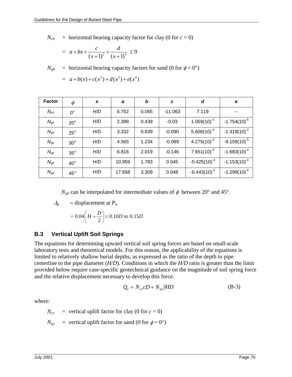$N_{ch}$  = horizontal bearing capacity factor for clay (0 for  $c = 0$ )

$$
= a + bx + \frac{c}{(x+1)^2} + \frac{d}{(x+1)^3} \le 9
$$

 $N_{qh}$  = horizontal bearing capacity factors for sand (0 for  $\phi = 0^{\circ}$ )

$$
= a + b(x) + c(x2) + d(x3) + e(x4)
$$

| <b>Factor</b> | $\phi$       | X   | a      | b     | C         | d                 | e                 |
|---------------|--------------|-----|--------|-------|-----------|-------------------|-------------------|
| $N_{ch}$      | $0^{\circ}$  | H/D | 6.752  | 0.065 | $-11.063$ | 7.119             |                   |
| $N_{qh}$      | $20^{\circ}$ | H/D | 2.399  | 0.439 | $-0.03$   | $1.059(10)^3$     | $-1.754(10)^{-5}$ |
| $N_{qh}$      | $25^\circ$   | H/D | 3.332  | 0.839 | $-0.090$  | $5.606(10)^{-3}$  | $-1.319(10)^{-4}$ |
| $N_{qh}$      | $30^\circ$   | H/D | 4.565  | 1.234 | $-0.089$  | $4.275(10)^{-3}$  | $-9.159(10)^{-5}$ |
| $N_{qh}$      | $35^\circ$   | H/D | 6.816  | 2.019 | $-0.146$  | $7.651(10)^3$     | $-1.683(10)^{-4}$ |
| $N_{qh}$      | $40^{\circ}$ | H/D | 10.959 | 1.783 | 0.045     | $-5.425(10)^{-3}$ | $-1.153(10)^{-4}$ |
| $N_{qh}$      | $45^{\circ}$ | H/D | 17.658 | 3.309 | 0.048     | $-6.443(10)^{-3}$ | $-1.299(10)^{-4}$ |

 $N_{qh}$  can be interpolated for intermediate values of  $\phi$  between 20<sup>°</sup> and 45<sup>°</sup>.

$$
\Delta_p = \text{displacement at } P_u
$$

$$
= 0.04 \left( H + \frac{D}{2} \right) \le 0.10D \text{ to } 0.15D
$$

## **B.3 Vertical Uplift Soil Springs**

The equations for determining upward vertical soil spring forces are based on small-scale laboratory tests and theoretical models. For this reason, the applicability of the equations is limited to relatively shallow burial depths, as expressed as the ratio of the depth to pipe centerline to the pipe diameter (*H/D*). Conditions in which the *H/D* ratio is greater than the limit provided below require case-specific geotechnical guidance on the magnitude of soil spring force and the relative displacement necessary to develop this force.

$$
Q_u = N_{cv}cD + N_{qv}\overline{H}D
$$
 (B-3)

where:

 $N_{cv}$  = vertical uplift factor for clay (0 for  $c = 0$ )

 $N_{qv}$  = vertical uplift factor for sand (0 for  $\phi = 0^{\circ}$ )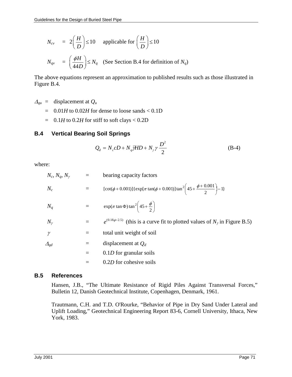$$
N_{cv} = 2\left(\frac{H}{D}\right) \le 10 \quad \text{appliedble for } \left(\frac{H}{D}\right) \le 10
$$
  

$$
N_{qv} = \left(\frac{\phi H}{44D}\right) \le N_q \quad \text{(See Section B.4 for definition of } N_q)
$$

The above equations represent an approximation to published results such as those illustrated in Figure B.4.

- $\Delta_{qu}$  = displacement at  $Q_u$ 
	- $=$  0.01*H* to 0.02*H* for dense to loose sands < 0.1D
	- $=$  0.1*H* to 0.2*H* for stiff to soft clays < 0.2D

## **B.4 Vertical Bearing Soil Springs**

$$
Q_d = N_c cD + N_q \overline{J} H D + N_\gamma \gamma \frac{D^2}{2}
$$
 (B-4)

where:

| $N_c$ , $N_a$ , $N_\nu$ = | bearing capacity factors                                                                                  |
|---------------------------|-----------------------------------------------------------------------------------------------------------|
| $N_c$                     | $[\cot(\phi + 0.001)] {\exp[\pi \tan(\phi + 0.001)] \tan^2 \left(45 + \frac{\phi + 0.001}{2}\right)} - 1$ |
| $N_q$                     | $=$ exp( $\pi$ tan $\Phi$ ) tan <sup>2</sup> $\left(45+\frac{\phi}{2}\right)$                             |
| $N_{\nu}$                 | $e^{(0.18\phi-2.5)}$ (this is a curve fit to plotted values of $N_{\gamma}$ in Figure B.5)                |
| $\gamma$                  | total unit weight of soil                                                                                 |
| $\varDelta_{qd}$          | displacement at $Q_d$                                                                                     |
|                           | $0.1D$ for granular soils                                                                                 |
|                           | 0.2D for cohesive soils                                                                                   |
|                           |                                                                                                           |

#### **B.5 References**

 Hansen, J.B., "The Ultimate Resistance of Rigid Piles Against Transversal Forces," Bulletin 12, Danish Geotechnical Institute, Copenhagen, Denmark, 1961.

 Trautmann, C.H. and T.D. O'Rourke, "Behavior of Pipe in Dry Sand Under Lateral and Uplift Loading," Geotechnical Engineering Report 83-6, Cornell University, Ithaca, New York, 1983.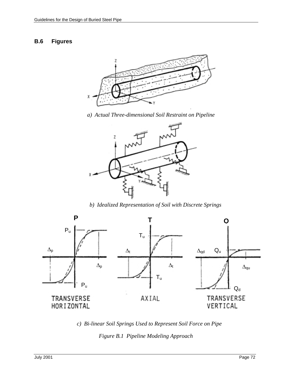#### **B.6 Figures**



*a) Actual Three-dimensional Soil Restraint on Pipeline* 



*b) Idealized Representation of Soil with Discrete Springs* 



*c) Bi-linear Soil Springs Used to Represent Soil Force on Pipe* 

*Figure B.1 Pipeline Modeling Approach*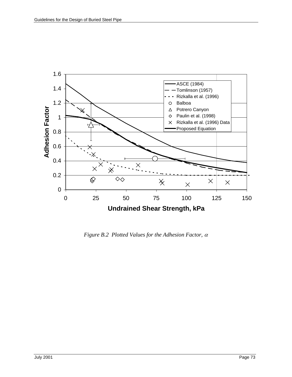

*Figure B.2 Plotted Values for the Adhesion Factor,*  $\alpha$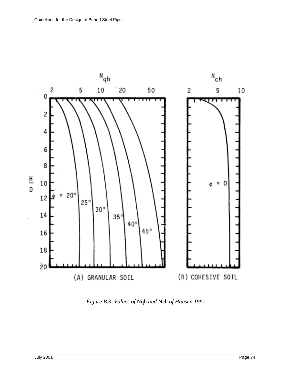

*Figure B.3 Values of* Nqh *and* Nch *of Hansen 1961*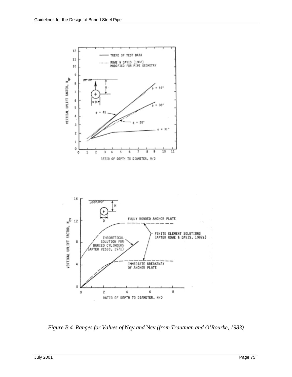

*Figure B.4 Ranges for Values of* Nqv *and* Ncv *(from Trautman and O'Rourke, 1983)*